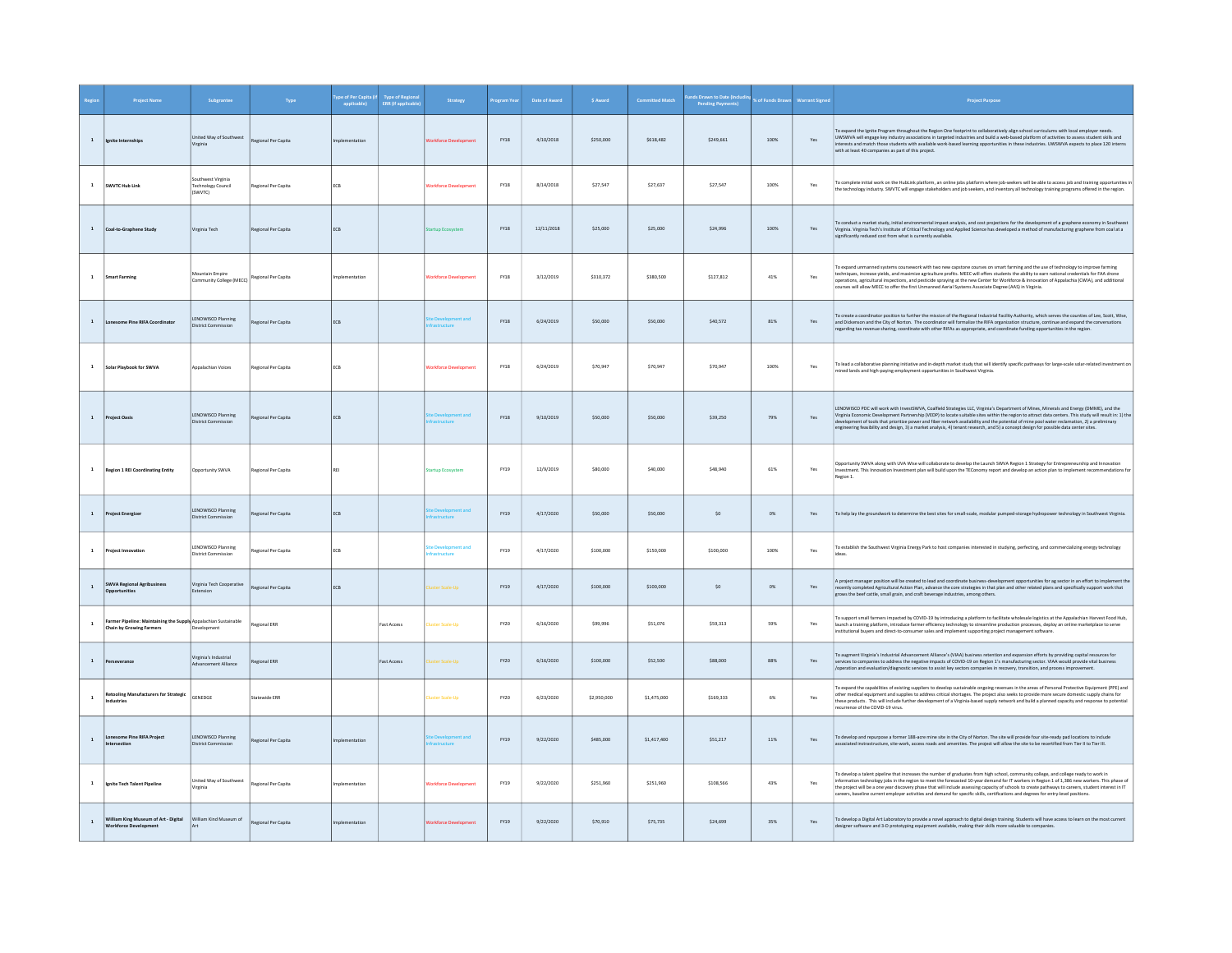|              |                                                                                                 | Subgrante                                                  |                     | oe of Per Capita<br>  applicable | Type of Region:<br>ERR (if applicabl | <b>Strategy</b>                 | ogram Ye    | Date of Award | \$ Award    | mitted Match | Is Drawn to Date (In<br><b>Pending Payments</b> |         |                               |                                                                                                                                                                                                                                                                                                                                                                                                                                                                                                                                                  |
|--------------|-------------------------------------------------------------------------------------------------|------------------------------------------------------------|---------------------|----------------------------------|--------------------------------------|---------------------------------|-------------|---------------|-------------|--------------|-------------------------------------------------|---------|-------------------------------|--------------------------------------------------------------------------------------------------------------------------------------------------------------------------------------------------------------------------------------------------------------------------------------------------------------------------------------------------------------------------------------------------------------------------------------------------------------------------------------------------------------------------------------------------|
| $\mathbf{1}$ | Ignite Internships                                                                              | United Way of Southwest<br>Virginia                        | Regional Per Capita |                                  |                                      |                                 | <b>FY18</b> | 4/10/2018     | \$250,000   | \$618,482    | \$249,661                                       | 100%    | Yes                           | To expand the Ignite Program throughout the Region One footprint to collaboratively align school curriculums with local employer needs<br>UWSWVA will engage key industry associations in targeted industries and build a web-based platform of activities to assess student skills and<br>interests and match those students with available work-based learning opportunities in these industries. UWSWVA expects to place 120 interns<br>with at least 40 companies as part of this project.                                                   |
| $\mathbf{1}$ | SWVTC Hub Link                                                                                  | Southwest Virginia<br><b>Technology Council</b><br>(SWVTC) | Regional Per Capita | <b>FCB</b>                       |                                      | Vorkforce Developmen            | FY18        | 8/14/2018     | \$27,547    | \$27,637     | \$27.547                                        | 100%    | Yes                           | To complete initial work on the HubLink platform, an online jobs platform where job-seekers will be able to access job and training opportunities in<br>the technology industry. SWVTC will engage stakeholders and job seekers, and inventory all technology training programs offered in the region.                                                                                                                                                                                                                                           |
|              | Coal-to-Graphene Study                                                                          | firginia Tech                                              | egional Per Capita  | ECB                              |                                      | tup Ec                          | FY18        | 12/11/2018    | \$25,000    | \$25,000     | \$24,996                                        | $100\%$ | Yes                           | To conduct a market study, initial environmental impact analysis, and cost projections for the development of a graphene economy in Southwes<br>Virginia. Virginia Tech's Institute of Critical Technology and Applied Science has developed a method of manufacturing graphene from coal at a<br>significantly reduced cost from what is currently available.                                                                                                                                                                                   |
| $\mathbf{1}$ | <b>Smart Farming</b>                                                                            | Mountain Empire<br>munity College (MECC)                   | Regional Per Capita | molementation                    |                                      | Vorkforce Developmen            | FY18        | 3/12/2019     | \$310,372   | \$380,500    | \$127.812                                       | 41%     | Yes                           | To expand unmanned systems coursework with two new capstone courses on smart farming and the use of technology to improve farming<br>techniques, increase yields, and maximize agriculture profits. MEEC will offers students the ability to earn national credentials for FAA drone<br>operations, agricultural inspections, and pesticide spraying at the new Center for Workforce & Innovation of Appalachia (CWIA), and additional<br>courses will allow MECC to offer the first Unmanned Aerial Systems Associate Degree (AAS) in Virginia. |
| $\mathbf{1}$ | Lonesome Pine RIFA Coordinator                                                                  | LENOWISCO Planning<br><b>District Commissio</b>            | Regional Per Capita | ECB                              |                                      |                                 | FY18        | 6/24/2019     | \$50,000    | \$50,000     | \$40,572                                        | $81\%$  | $\operatorname{\mathsf{Yes}}$ | o create a coordinator position to further the mission of the Regional Industrial Facility Authority, which serves the counties of Lee, Scott, Wise,<br>and Dickenson and the City of Norton. The coordinator will formalize the RIFA organization structure, continue and expand the conversations<br>regarding tax revenue sharing, coordinate with other RIFAs as appropriate, and coordinate funding opportunities in the region.                                                                                                            |
|              | Solar Playbook for SWVA                                                                         | Appalachian Voices                                         | Regional Per Capita | ECB                              |                                      | orkforce Developmer             | <b>FY18</b> | 6/24/2019     | \$70,947    | \$70,947     | \$70,947                                        | 100%    | Yes                           | To lead a collaborative planning initiative and in-depth market study that will identify specific pathways for large-scale solar-related investment on<br>mined lands and high-paying employment opportunities in Southwest Virginia.                                                                                                                                                                                                                                                                                                            |
|              | roject Oasis                                                                                    | LENOWISCO Planning<br><b>District Commissi</b>             | egional Per Capita  | ECB                              |                                      |                                 | <b>FY18</b> | 9/10/2019     | \$50,000    | \$50,000     | \$39,250                                        | 79%     | Yes                           | LENOWISCO PDC will work with InvestSWVA, Coalfield Strategies LLC, Virginia's Department of Mines, Minerals and Energy (DMME), and the<br>Virginia Economic Development Partnership (VEDP) to locate suitable sites within the region to attract data centers. This study will result in: 1] the development of tools that prioritize power and fiber network availabili<br>engineering feasibility and design, 3) a market analysis, 4) tenant research, and 5) a concept design for possible data center sites.                                |
| $\mathbf{1}$ | <b>Region 1 REI Coordinating Entity</b>                                                         | Opportunity SWVA                                           | Regional Per Capita |                                  |                                      | tartup Ecosystem                | FY19        | 12/9/2019     | \$80,000    | \$40,000     | \$48,940                                        | 61%     | Yes                           | Opportunity SWVA along with UVA Wise will collaborate to develop the Launch SWVA Region 1 Strategy for Entrepreneurship and Innovation<br>Investment. This Innovation Investment plan will build upon the TEConomy report and develop an action plan to implement recommendations for<br>Region 1.                                                                                                                                                                                                                                               |
| $\mathbf{1}$ | roject Energize                                                                                 | LENOWISCO Planning<br><b>District Commission</b>           | Regional Per Capita | ECB                              |                                      | - Dev                           | FY19        | 4/17/2020     | \$50,000    | \$50,000     | SO                                              | 0%      | Yes                           | To help lay the groundwork to determine the best sites for small-scale, modular pumped-storage hydropower technology in Southwest Virginia.                                                                                                                                                                                                                                                                                                                                                                                                      |
|              | roject Innovation                                                                               | LENOWISCO Planning<br><b>District Commission</b>           | egional Per Capita  | ECB                              |                                      | o Desale<br><b>Setting Form</b> | FY19        | 4/17/2020     | \$100,000   | \$150,000    | \$100,000                                       | 100%    | Yes                           | To establish the Southwest Virginia Energy Park to host companies interested in studying, perfecting, and commercializing energy technology                                                                                                                                                                                                                                                                                                                                                                                                      |
| $\mathbf{1}$ | <b>SWVA Regional Agribusiness</b><br>pportunities                                               | Virginia Tech Cooperative<br>xtension                      | Regional Per Capita | <b>FCB</b>                       |                                      | uster Scale-Up                  | FY19        | 4/17/2020     | \$100,000   | \$100,000    | SO                                              | 0%      | Yes                           | A project manager position will be created to lead and coordinate business-development opportunities for ag sector in an effort to implement the<br>recently completed Agricultural Action Plan, advance the core strategies in that plan and other related plans and specifically support work that<br>grows the beef cattle, small grain, and craft beverage industries, among others.                                                                                                                                                         |
|              | mer Pipeline: Maintaining the Supply Appalachian Sustainable<br><b>Chain by Growing Farmers</b> | Development                                                | Regional ERR        |                                  | Fast Access                          | uster Scale-Up                  | <b>FY20</b> | 6/16/2020     | \$99,996    | \$51,076     | \$59,313                                        | 59%     | Yes                           | To support small farmers impacted by COVID-19 by introducing a platform to facilitate wholesale logistics at the Appalachian Harvest Food Hub,<br>launch a training platform, introduce farmer efficiency technology to streamline production processes, deploy an online marketplace to serve<br>institutional buyers and direct-to-consumer sales and implement supporting project management software.                                                                                                                                        |
|              | Perseverance                                                                                    | Virginia's Industrial<br>wancement Alliance                | Regional ERR        |                                  | <b>Fast Access</b>                   | ister Scale-Up                  | FY20        | 6/16/2020     | \$100,000   | \$52,500     | \$88,000                                        | 88%     | Yes                           | To augment Virginia's Industrial Advancement Alliance's (VIAA) business retention and expansion efforts by providing capital resources for<br>services to companies to address the negative impacts of COVID-19 on Region 1's manufacturing sector. VIAA would provide vital business<br>/operation and evaluation/diagnostic services to assist key sectors companies in recovery, transition, and process improvement.                                                                                                                         |
| $\mathbf{1}$ | etooling Manufacturers for Strategic<br>dustries                                                | GENEDGE                                                    | itatewide ERR       |                                  |                                      | ster Scale-Up                   | FY20        | 6/23/2020     | \$2,950,000 | \$1,475,000  | \$169,333                                       | 6%      | $\gamma_{\mbox{\small es}}$   | Fo expand the capabilities of existing suppliers to develop sustainable ongoing revenues in the areas of Personal Protective Equipment (PPE) and<br>other medical equipment and supplies to address critical shortages. The project also seeks to provide more secure domestic supply chains for<br>these products. This will include further development of a Virginia-based supply network and build a planned capacity and response to potential<br>currence of the COVID-19 virus.                                                           |
| $\mathbf{1}$ | onesome Pine RIFA Project                                                                       | LENOWISCO Planning<br><b>District Commission</b>           | Regional Per Capita | plementation                     |                                      |                                 | FY19        | 9/22/2020     | \$485,000   | \$1,417,400  | \$51,217                                        | 11%     | Yes                           | To develop and repurpose a former 188-acre mine site in the City of Norton. The site will provide four site-ready pad locations to include<br>issociated instrastructure, site-work, access roads and amenities. The project will allow the site to be recertified from Tier II to Tier III.                                                                                                                                                                                                                                                     |
|              | Ignite Tech Talent Pipeline                                                                     | United Way of Southwest<br>Virginia                        | Regional Per Capita | nplementation                    |                                      | rkforce Developr                | FY19        | 9/22/2020     | \$251,960   | \$251,960    | \$108,566                                       | 43%     | Yes                           | o develop a talent pipeline that increases the number of graduates from high school, community college, and college ready to work in<br>information technology jobs in the region to meet the forecasted 10-year demand for IT workers in Region 1 of 1,386 new workers. This phase of the project will be a one year discovery phase that will include assessing cap<br>careers, baseline current employer activities and demand for specific skills, certifications and degrees for entry-level positions.                                     |
| $\mathbf 1$  | William King Museum of Art - Digital<br><b>Norkforce Development</b>                            | William Kind Museum of                                     | Regional Per Capita | mplementation                    |                                      | orkforce Developmer             | FY19        | 9/22/2020     | \$70,910    | \$75,735     | \$24,699                                        | 35%     | Yes                           | To develop a Digital Art Laboratory to provide a novel approach to digital design training. Students will have access to learn on the most current<br>designer software and 3-D prototyping equipment available, making their skills more valuable to companies.                                                                                                                                                                                                                                                                                 |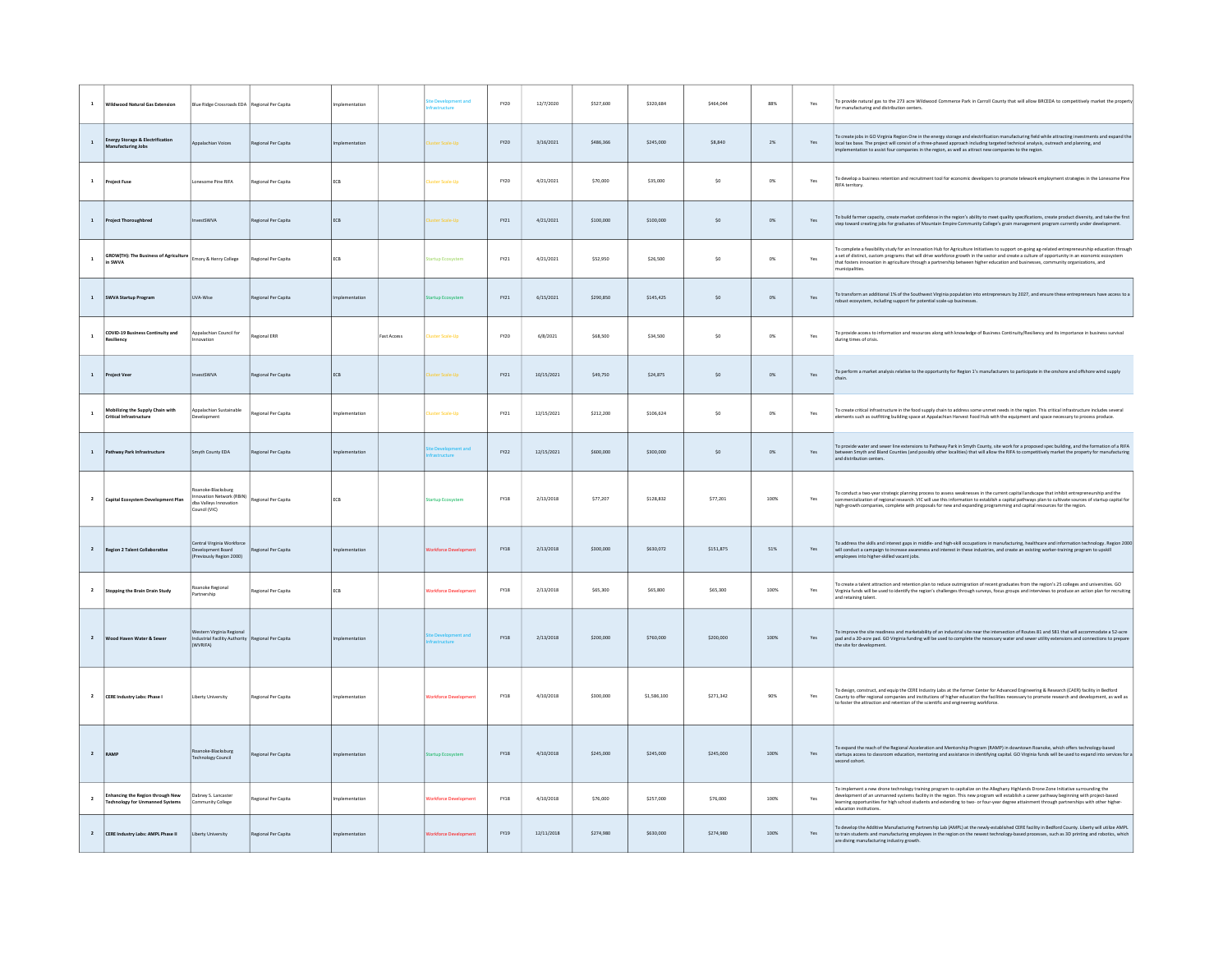|                         | <b>Wildwood Natural Gas Extension</b>                                             | Blue Ridge Crossroads EDA Regional Per Capita                                           |                      | ementation    |                    | astructur                    | FY20        | 12/7/2020  | \$527,600 | \$320,684   | \$464,044 | 88%   | Yes            | To provide natural gas to the 273 acre Wildwood Commerce Park in Carroll County that will allow BRCEDA to competitively market the property<br>for manufacturing and distribution centers.                                                                                                                                                                                                                                                                     |
|-------------------------|-----------------------------------------------------------------------------------|-----------------------------------------------------------------------------------------|----------------------|---------------|--------------------|------------------------------|-------------|------------|-----------|-------------|-----------|-------|----------------|----------------------------------------------------------------------------------------------------------------------------------------------------------------------------------------------------------------------------------------------------------------------------------------------------------------------------------------------------------------------------------------------------------------------------------------------------------------|
| $\mathbf{1}$            | <b>Energy Storage &amp; Electrification</b><br>Manufacturing Jobs                 | Appalachian Voices                                                                      | Regional Per Capital | plementation  |                    | ster Scale-Un                | FY20        | 3/16/2021  | \$486,366 | \$245,000   | \$8,840   | $2\%$ | Yes            | To create jobs in GO Virginia Region One in the energy storage and electrification manufacturing field while attracting investments and expand the<br>local tax base. The project will consist of a three-phased approach including targeted technical analysis, outreach and planning, and<br>plementation to assist four companies in the region, as well as attract new companies to the region.                                                            |
| $\mathbf 1$             | <b>Project Fuse</b>                                                               | Lonesome Pine RIFA                                                                      | Regional Per Capital | ECB           |                    | <b>Juster Scale-Up</b>       | FY20        | 4/21/2021  | \$70,000  | \$35,000    | $\sf{S0}$ | $0\%$ | $\mathsf{Yes}$ | To develop a business retention and recruitment tool for economic developers to promote telework employment strategies in the Lonesome Pine<br>RIFA territory.                                                                                                                                                                                                                                                                                                 |
| $\mathbf{1}$            | <b>Project Thoroughbred</b>                                                       | vestSWVA                                                                                | Regional Per Capita  | ECB           |                    | ster Scale-Uni               | $FY21$      | 4/21/2021  | \$100,000 | \$100,000   | SO        | $0\%$ | Yes            | To build farmer capacity, create market confidence in the region's ability to meet quality specifications, create product diversity, and take the first<br>step toward creating jobs for graduates of Mountain Empire Community College's grain management program currently under development.                                                                                                                                                                |
| $\mathbf{1}$            | <b>GROW(TH): The Business of Agriculture</b><br>in SWVA                           | Emory & Henry College                                                                   | Regional Per Capita  | ECB           |                    | artup Ecosystem              | $FY21$      | 4/21/2021  | \$52,950  | \$26,500    | \$0       | $0\%$ | Yes            | To complete a feasibility study for an Innovation Hub for Agriculture Initiatives to support on-going ag-related entrepreneurship education through<br>a set of distinct, custom programs that will drive workforce growth in the sector and create a culture of opportunity in an economic ecosystem<br>that fosters innovation in agriculture through a partnership between higher education and businesses, community organizations, and<br>nunicipalities. |
| $\mathbf{1}$            | SWVA Startup Program                                                              | UVA-Wise                                                                                | Regional Per Capita  | plementation  |                    | tun Fr                       | FY21        | 6/15/2021  | \$290,850 | \$145,425   | \$0       | 0%    | Yes            | To transform an additional 1% of the Southwest Virginia population into entrepreneurs by 2027, and ensure these entrepreneurs have access to a<br>robust ecosystem, including support for potential scale-up businesses.                                                                                                                                                                                                                                       |
| $\mathbf{1}$            | COVID-19 Business Continuity and                                                  | Appalachian Council for<br>wation                                                       | <b>Regional ERR</b>  |               | <b>Fast Access</b> | <b>Juster Scale-Up</b>       | <b>FY20</b> | 6/8/2021   | \$68,500  | \$34,500    | \$0       | $0\%$ | Yes            | To provide access to information and resources along with knowledge of Business Continuity/Resiliency and its importance in business survival<br>during times of crisis.                                                                                                                                                                                                                                                                                       |
| $\mathbf 1$             | <b>Project Veer</b>                                                               | vestSWVA                                                                                | Regional Per Capita  | ECB           |                    | ster Scale-Uni               | FY21        | 10/15/2021 | \$49,750  | \$24,875    | \$0       | $0\%$ | Yes            | To perform a market analysis relative to the opportunity for Region 1's manufacturers to participate in the onshore and offshore wind supply                                                                                                                                                                                                                                                                                                                   |
| $\mathbf{1}$            | Mobilizing the Supply Chain with<br>Critical Infrastructure                       | Appalachian Sustainable                                                                 | Regional Per Capita  | nolementation |                    | uster Scale-Up               | FY21        | 12/15/2021 | \$212,200 | \$106,624   | \$0       | 0%    | Yes            | To create critical infrastructure in the food supply chain to address some unmet needs in the region. This critical infrastructure includes several<br>lements such as outfitting building space at Appalachian Harvest Food Hub with the equipment and space necessary to process produce.                                                                                                                                                                    |
| $\mathbf{1}$            | Pathway Park Infrastructure                                                       | Smyth County EDA                                                                        | Regional Per Capita  | mentation     |                    |                              | FY22        | 12/15/2021 | \$600,000 | \$300,000   | SO        | 0%    | Yes            | To provide water and sewer line extensions to Pathway Park in Smyth County, site work for a proposed spec building, and the formation of a RIFA<br>between Smyth and Bland Counties (and possibly other localities) that will allow the RIFA to competitively market the property for manufacturing<br>and distribution centers.                                                                                                                               |
| $\overline{\mathbf{2}}$ | Capital Ecosystem Development Plan                                                | oanoke-Blacksburg<br>novation Network (RBIN)<br>dba Valleys Innovation<br>Council (VIC) | Regional Per Capita  | ECB           |                    | artup Ecosystem              | <b>FY18</b> | 2/13/2018  | \$77,207  | \$128,832   | \$77,201  | 100%  | Yes            | To conduct a two-year strategic planning process to assess weaknesses in the current capital landscape that inhibit entrepreneurship and the<br>mmercialization of regional research. VIC will use this information to establish a capital pathways plan to cultivate sources of startup capital for<br>high-growth companies, complete with proposals for new and expanding programming and capital resources for the region.                                 |
| $\overline{2}$          | <b>Region 2 Talent Collaborative</b>                                              | entral Virginia Workforce<br>Development Board<br>eviously Region 2000)                 | Regional Per Capita  | plementation  |                    | rkforce Deve                 | <b>FY18</b> | 2/13/2018  | \$300,000 | \$630,072   | \$151,875 | 51%   | Yes            | To address the skills and interest gaps in middle- and high-skill occupations in manufacturing, healthcare and information technology. Region 2000<br>will conduct a campaign to increase awareness and interest in these industries, and create an existing worker-training program to upskill<br>employees into higher-skilled vacant jobs.                                                                                                                  |
| $\overline{2}$          | Stopping the Brain Drain Study                                                    | Roanoke Regiona<br>Partnership                                                          | Regional Per Capita  | ECB           |                    | <b>Jorkforce Development</b> | <b>FY18</b> | 2/13/2018  | \$65,300  | \$65,800    | \$65,300  | 100%  | Yes            | o create a talent attraction and retention plan to reduce outmigration of recent graduates from the region's 25 colleges and universities. GO<br>Virginia funds will be used to identify the region's challenges through surveys, focus groups and interviews to produce an action plan for recruiting<br>ind retaining talent.                                                                                                                                |
| $\overline{2}$          | ood Haven Water & Sewe                                                            | Western Virginia Regiona<br>ndustrial Facility Authority<br>(WVRIFA)                    | Regional Per Capita  |               |                    |                              | <b>EY18</b> | 2/13/2018  | \$200,000 | \$760,000   | \$200,000 | 100%  | Yes            | To improve the site readiness and marketability of an industrial site near the intersection of Routes 81 and 581 that will accommodate a 52-acre<br>pad and a 20-acre pad. GO Virginia funding will be used to complete the necessary water and sewer utility extensions and connections to prepar<br>the site for develo                                                                                                                                      |
| $\overline{2}$          | CERE Industry Labs: Phase I                                                       | <b>Liberty University</b>                                                               | Regional Per Capita  | nolementation |                    | <b>Vorkforce Developmen</b>  | <b>FY18</b> | 4/10/2018  | \$300,000 | \$1,586,100 | \$271,342 | 90%   | Yes            | To design, construct, and equip the CERE Industry Labs at the former Center for Advanced Engineering & Research (CAER) facility in Bedford<br>County to offer regional companies and institutions of higher education the facilities necessary to promote research and development, as well as<br>to foster the attraction and retention of the scientific and engineering workforce.                                                                          |
| $\overline{2}$          | <b>RAME</b>                                                                       | nannke-Blackshure<br>Technology Council                                                 | Regional Per Capita  | nplementation |                    | artup Ecosysten              | <b>FY18</b> | 4/10/2018  | \$245,000 | \$245,000   | \$245,000 | 100%  | Yes            | To expand the reach of the Regional Acceleration and Mentorship Program (RAMP) in downtown Roanoke, which offers technology-based<br>startups access to classroom education, mentoring and assistance in identifying capital. GO Virginia funds will be used to expand into services for a<br>second cohort.                                                                                                                                                   |
| $\overline{2}$          | <b>Enhancing the Region through New</b><br><b>Technology for Unmanned Systems</b> | Dabney S. Lancaster<br>Community College                                                | Regional Per Capita  | mplementation |                    | <b>Jorkforce Development</b> | <b>FY18</b> | 4/10/2018  | \$76,000  | \$257,000   | \$76,000  | 100%  | Yes            | To implement a new drone technology training program to capitalize on the Alleghany Highlands Drone Zone Initiative surrounding the<br>development of an unmanned systems facility in the region. This new program will establish<br>learning opportunities for high school students and extending to two- or four-year degree attainment through partnerships with other higher-<br>education institutions.                                                   |
| $\overline{2}$          | CERE Industry Labs: AMPL Phase II                                                 | iberty University                                                                       | Regional Per Capita  | nplementation |                    |                              | FY19        | 12/11/2018 | \$274,980 | 000.0632    | \$274,980 | 100%  | Yes            | To develop the Additive Manufacturing Partnership Lab (AMPL) at the newly-established CERE facility in Bedford County. Liberty will utilize AMPL<br>to train students and manufacturing employees in the region on the newest technology-based processes, such as 3D printing and robotics, which<br>are diving manufacturing industry growth.                                                                                                                 |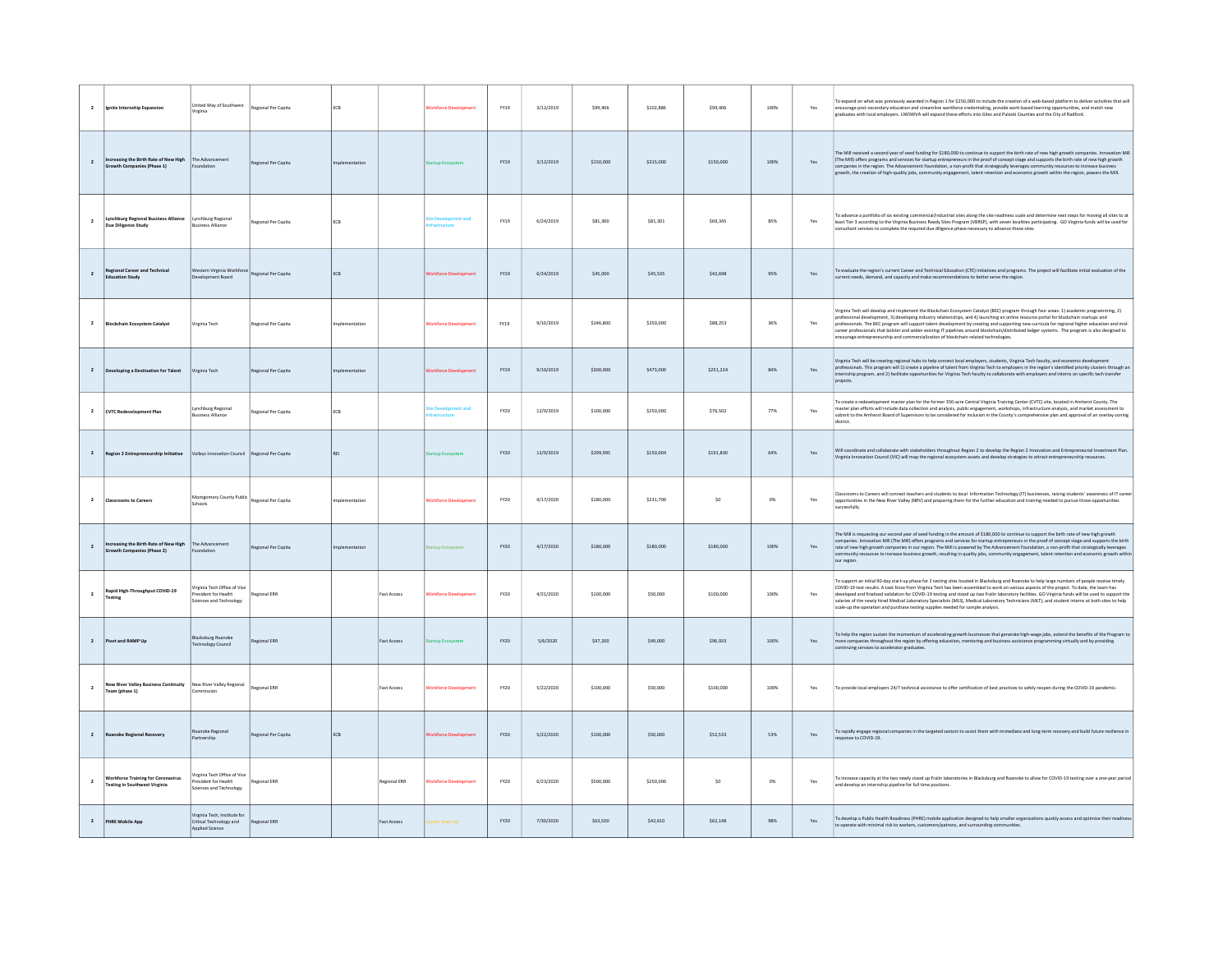| $\overline{2}$          | nite Internship Expansion                                                         | United Way of Southwest<br>/irginia                                             | Regional Per Capita | ECB           |                    | rkforce Dev          | FY19        | 3/12/2019 | \$99,406  | \$102,886 | \$99,406  | 100%        | Yes | To expand on what was previously awarded in Region 1 for \$250,000 to include the creation of a web-based platform to deliver activities that will<br>encourage post-secondary education and streamline workforce credentialing, provide work-based learning opportunities, and match new<br>graduates with local employers. UWSWVA will expand these efforts into Giles and Pulaski Counties and the City of Radford.                                                                                                                                                                                                                                                                          |
|-------------------------|-----------------------------------------------------------------------------------|---------------------------------------------------------------------------------|---------------------|---------------|--------------------|----------------------|-------------|-----------|-----------|-----------|-----------|-------------|-----|-------------------------------------------------------------------------------------------------------------------------------------------------------------------------------------------------------------------------------------------------------------------------------------------------------------------------------------------------------------------------------------------------------------------------------------------------------------------------------------------------------------------------------------------------------------------------------------------------------------------------------------------------------------------------------------------------|
| $\overline{2}$          | Increasing the Birth Rate of New High<br>Growth Companies (Phase 1)               | The Advancement<br>undation                                                     | Regional Per Capita | nolementation |                    | irtun Fra            | FY19        | 3/12/2019 | \$150,000 | \$315,000 | \$150,000 | 100%        | Yes | The Mill received a second year of seed funding for \$180,000 to continue to support the birth rate of new high growth companies. Innovation Mill<br>(The Mill) offers programs and services for startup entrepreneurs in the proof of concept stage and supports the birth rate of new high growth<br>companies in the region. The Advancement Foundation, a non-profit that strategically leverages community resources to increase bu<br>growth, the creation of high-quality jobs, community engagement, talent retention and economic growth within the region, powers the Mill.                                                                                                           |
| $\overline{2}$          | <b>Lynchburg Regional Business Alliance</b><br>Due Diligence Study                | <b>Lynchburg Regional</b><br><b>Business Alliance</b>                           | Regional Per Capita | ECB           |                    |                      | FY19        | 6/24/2019 | \$81,300  | \$81.301  | \$69,345  | 85%         | Yes | To advance a portfolio of six existing commercial/industrial sites along the site readiness scale and determine next steps for moving all sites to at<br>least Tier 3 according to the Virginia Business Ready Sites Program (VBRSP), with seven localities participating. GO Virginia funds will be used for<br>consultant services to complete the required due diligence phase necessary to advance these sites.                                                                                                                                                                                                                                                                             |
| $\overline{2}$          | <b>Regional Career and Technical</b><br><b>Education Study</b>                    | Western Virginia Workforce<br>ent Board                                         | Regional Per Capita | ECB           |                    | rkforce Dev          | FY19        | 6/24/2019 | \$45,000  | \$45,535  | \$42,698  | 95%         | Yes | To evaluate the region's current Career and Technical Education (CTE) initiatives and programs. The project will facilitate initial evaluation of the<br>current needs, demand, and capacity and make recommendations to better serve the region.                                                                                                                                                                                                                                                                                                                                                                                                                                               |
|                         | lockchain Ecosystem Catalyst                                                      | Virginia Tech                                                                   | Regional Per Capita | mplementation |                    | Vorkforce Developmen | <b>FY19</b> | 9/10/2019 | \$246,800 | \$250,000 | \$88,253  | 36%         | Yes | Virginia Tech will develop and implement the Blockchain Ecosystem Catalyst (BEC) program through four areas: 1) academic programming, 2)<br>professional development, 3) developing industry relationships, and 4) launching an online resource portal for blockchain startups and<br>professionals. The BEC program will support talent development by creating and supporting new curricula for regional higher education and mid-<br>Career professionals that bolster and widen existing IT pipelines around blockchain/distributed ledger systems. The program is also designed to encourage entrepreneurship and commercialization of blockchain-related technol                          |
| $\overline{2}$          | Developing a Destination for Talent                                               | irginia Tech                                                                    | Regional Per Capita | mentation     |                    | arkforce Develor     | FY19        | 9/10/2019 | \$300,000 | \$473,000 | \$251.224 | 84%         | Yes | Virginia Tech will be creating regional hubs to help connect local employers, students, Virginia Tech faculty, and economic development<br>professionals. This program will 1) create a pipeline of talent from Virginia Tech to employers in the region's identified priority clusters through an internship program, and 2) facilitate opportunities for Virginia Tech<br>projects.                                                                                                                                                                                                                                                                                                           |
| $\mathbf{2}$            | <b>CVTC Redevelopment Plan</b>                                                    | ynchburg Regional<br><b>Business Alliance</b>                                   | Regional Per Capita | ECB           |                    |                      | FY20        | 12/9/2019 | \$100,000 | \$250,000 | \$76,502  | $77\%$      | Yes | To create a redevelopment master plan for the former 350-acre Central Virginia Training Center (CVTC) site, located in Amherst County. The<br>master plan efforts will include data collection and analysis, public engagement, workshops, infrastructure analysis, and market assessment to submit to the Amherst Board of Supervisors to be considered for inclusion in th<br>district.                                                                                                                                                                                                                                                                                                       |
| $\overline{2}$          | <b>Region 2 Entrepreneurship Initiative</b>                                       | Valleys Innovation Council Regional Per Capita                                  |                     |               |                    | artun Frosystem      | FY20        | 12/9/2019 | \$299.995 | \$150,004 | \$191.830 | 64%         | Yes | Will coordinate and collaborate with stakeholders throughout Region 2 to develop the Region 2 Innovation and Entrepreneurial Investment Plan.<br>Virginia Innovation Council (VIC) will map the regional ecosystem assets and develop strategies to attract entrepreneurship resources.                                                                                                                                                                                                                                                                                                                                                                                                         |
| $\overline{\mathbf{2}}$ | <b>Classrooms to Careers</b>                                                      | Montgomery County Public<br>Schools                                             | Regional Per Capita | mplementation |                    | Vorkforce Developmen | FY20        | 4/17/2020 | \$180,000 | \$231,700 | \$0       | $_{\rm OX}$ | Yes | Classrooms to Careers will connect teachers and students to local Information Technology (IT) businesses, raising students' awareness of IT career<br>opportunities in the New River Valley (NRV) and preparing them for the further education and training needed to pursue those opportunities<br>uccessfully.                                                                                                                                                                                                                                                                                                                                                                                |
| $\overline{2}$          | Increasing the Birth Rate of New High<br><b>Srowth Companies (Phase 2)</b>        | The Advancement<br>oundation                                                    | Regional Per Capita | entation      |                    | irtun Frasystem      | FY20        | 4/17/2020 | \$180,000 | \$180,000 | \$180,000 | 100%        | Yes | The Mill is requesting our second year of seed funding in the amount of \$180,000 to continue to support the birth rate of new high growth<br>companies. Innovation Mill (The Mill) offers programs and services for startup entrepreneurs in the proof of concept stage and supports the birth<br>rate of new high growth companies in our region. The Mill is powered by The Advancement Foundation, a non-profit that strategically leverages<br>community resources to increase business growth, resulting in quality jobs, community engagement, talent retention and economic growth within<br>our region.                                                                                |
| $\mathbf{2}$            | Rapid High-Throughput COVID-19<br><b>Testing</b>                                  | Virginia Tech Office of Vice<br>President for Health<br>Sciences and Technology | Regional ERR        |               | <b>Fast Access</b> | Vorkforce Developmen | FY20        | 4/21/2020 | \$100,000 | \$50,000  | \$100,000 | 100%        | Yes | To support an initial 90-day start-up phase for 2 testing sites located in Blacksburg and Roanoke to help large numbers of people receive timely<br>COVID-19 test results. A task force from Virginia Tech has been assembled to work on various aspects of the project. To date, the team has<br>developed and finalized validation for COVID-19 testing and stood up two Fralin laboratory facilities. GO Virginia funds will be used to support the<br>salaries of the newly hired Medical Laboratory Specialists (MLS), Medical Laboratory Technicians (MLT), and student interns at both sites to help<br>scale-up the operation and purchase testing supplies needed for sample analysis. |
| $\overline{2}$          | Pivot and RAMP Up                                                                 | Blacksburg Roanoke<br><b>Technology Council</b>                                 | Regional ERR        |               | <b>Fast Access</b> | rtup Eo              | FY20        | S/6/2020  | \$97,200  | \$49,000  | \$96,933  | 100%        | Yes | To help the region sustain the momentum of accelerating growth businesses that generate high-wage jobs, extend the benefits of the Program to<br>more companies throughout the region by offering education, mentoring and business assistance programming virtually and by providing<br>continuing services to accelerator graduates.                                                                                                                                                                                                                                                                                                                                                          |
| $\overline{\mathbf{2}}$ | <b>New River Valley Business Continuity</b><br>Team (phase 1)                     | New River Valley Regional<br>Commission                                         | Regional ERR        |               | <b>Fast Access</b> | orkforce Developmen  | FY20        | 5/22/2020 | \$100,000 | \$50,000  | \$100,000 | 100%        | Yes | To provide local employers 24/7 technical assistance to offer certification of best practices to safely reopen during the COVID-19 pandemic.                                                                                                                                                                                                                                                                                                                                                                                                                                                                                                                                                    |
| $\overline{2}$          | anoke Regional Recovery                                                           | Roanoke Regiona<br>Partnership                                                  | Regional Per Capita | ECB           |                    | rkforce Developn     | FY20        | 5/22/2020 | \$100,000 | \$50,000  | \$52,533  | 53%         | Yes | To rapidly engage regional companies in the targeted sectors to assist them with immediate and long-term recovery and build future resilience in<br>response to COVID-19.                                                                                                                                                                                                                                                                                                                                                                                                                                                                                                                       |
| $\overline{2}$          | <b>Workforce Training for Coronavirus</b><br><b>Testing in Southwest Virginia</b> | irginia Tech Office of Vice<br>President for Health<br>iciences and Technology  | Regional ERR        |               | Regional ERR       | Vorkforce Developmen | FY20        | 6/23/2020 | \$500,000 | \$250,000 | \$0       | $O\%$       | Yes | To increase capacity at the two newly stood up Fralin laboratories in Blacksburg and Roanoke to allow for COVID-19 testing over a one-year period<br>and develop an internship pipeline for full time positions.                                                                                                                                                                                                                                                                                                                                                                                                                                                                                |
| $\overline{2}$          | <b>PHRE Mobile App</b>                                                            | Virginia Tech, Institute fo.<br>Critical Technology and<br>Applied Science      | Regional ERR        |               | <b>Fast Access</b> | ter Scale-Up         | FY20        | 7/30/2020 | \$63,500  | \$42,610  | \$62,148  | 98%         | Yes | To develop a Public Health Readiness (PHRE) mobile application designed to help smaller organizations quickly assess and optimize their readiness<br>to operate with minimal risk to workers, customers/patrons, and surrounding communities                                                                                                                                                                                                                                                                                                                                                                                                                                                    |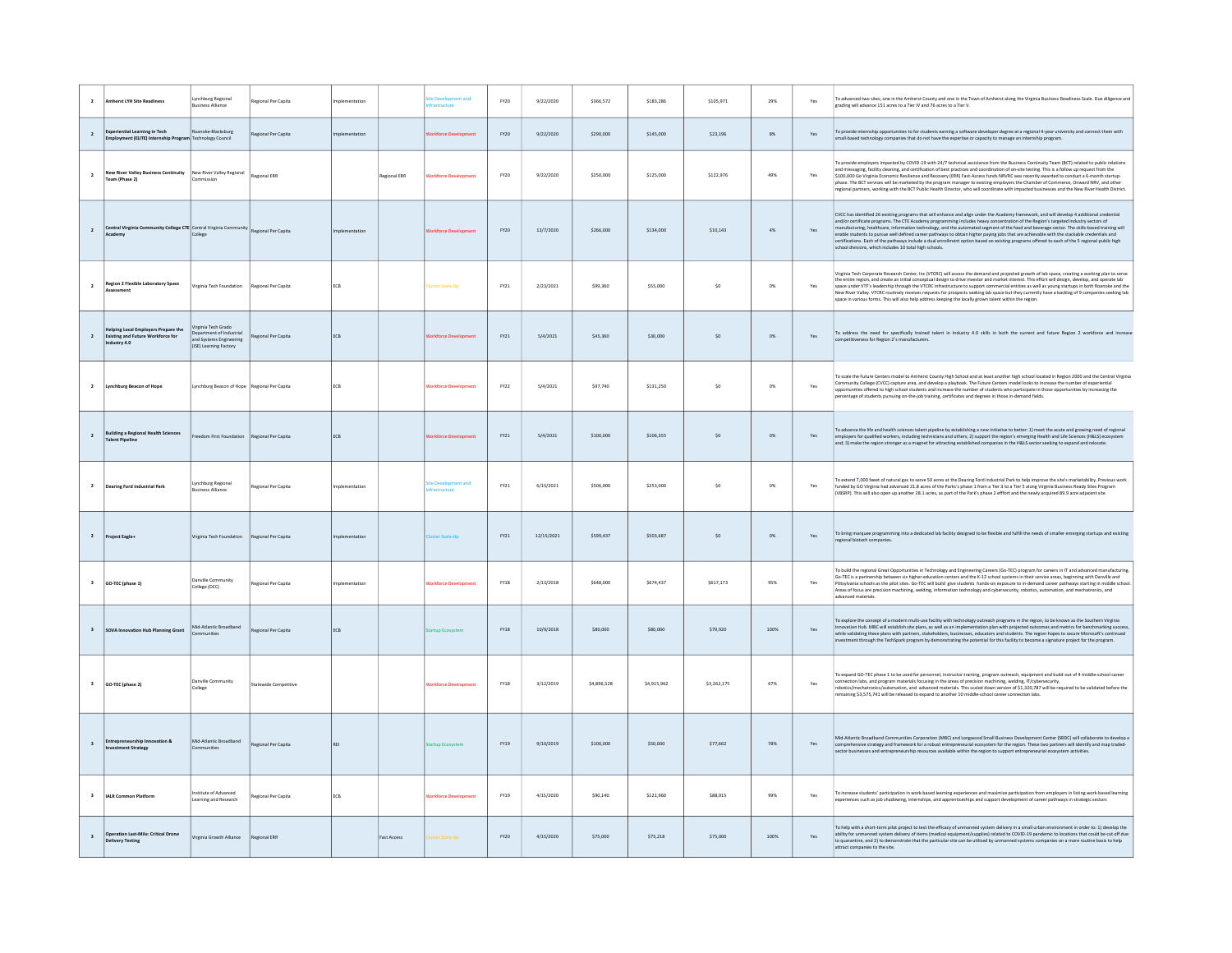| $\overline{2}$          | <b>Imherst LYH Site Readiness</b>                                                             | mchburg Regional<br><b>Business Alliance</b>                                                         | Regional Per Capita        | nlementation  |                     |                      | FY20 | 9/22/2020  | \$366,572   | \$183,286   | \$105,971   | 29%         | Yes | To advanced two sites; one in the Amherst County and one in the Town of Amherst along the Virginia Business Readiness Scale. Due diligence and<br>grading will advance 151 acres to a Tier IV and 76 acres to a Tier V.                                                                                                                                                                                                                                                                                                                                                                                                                                                                                                                      |
|-------------------------|-----------------------------------------------------------------------------------------------|------------------------------------------------------------------------------------------------------|----------------------------|---------------|---------------------|----------------------|------|------------|-------------|-------------|-------------|-------------|-----|----------------------------------------------------------------------------------------------------------------------------------------------------------------------------------------------------------------------------------------------------------------------------------------------------------------------------------------------------------------------------------------------------------------------------------------------------------------------------------------------------------------------------------------------------------------------------------------------------------------------------------------------------------------------------------------------------------------------------------------------|
| $\overline{2}$          | <b>Experiential Learning in Tech</b><br>mployment (ELITE) Internship Progra                   | Roanoke-Blacksburg<br><b>Technology Council</b>                                                      | Regional Per Capita        | ·mentation    |                     |                      | FY20 | 9/22/2020  | \$290,000   | \$145,000   | \$23,196    | 8%          | Yes | To provide internship opportunities to for students earning a software developer degree at a regional 4-year university and connect them with<br>small-based technology companies that do not have the expertise or capacity to manage an internship program.                                                                                                                                                                                                                                                                                                                                                                                                                                                                                |
| $\overline{2}$          | New River Valley Business Continuity New River Valley Regional<br>Team (Phase 2)              |                                                                                                      | Regional ERR               |               | <b>Regional ERR</b> |                      | FY20 | 9/22/2020  | \$250,000   | \$125,000   | \$122,976   | 49%         | Yes | To provide employers impacted by COVID-19 with 24/7 technical assistance from the Business Continuity Team (BCT) related to public relations<br>and messaging, facility cleaning, and certification of best practices and coordination of on-site testing. This is a follow up request from the<br>\$100,000 Go Virginia Economic Resilience and Recovery (ERR) Fast-Access funds NRVRC was recently awarded to conduct a 6-month startup-<br>phase. The BCT services will be marketed by the program manager to existing employers the Chamber of Commerce, Onward NRV, and other<br>regional partners, working with the BCT Public Health Director, who will coordinate with impacted businesses and the New River Health District.        |
| $\overline{2}$          | Central Virginia Community College CTE Central Virginia Com<br>Academy                        | College                                                                                              | nunity Regional Per Capita |               |                     |                      | FY20 | 12/7/2020  | \$266,000   | \$134,000   | \$10.143    | 4%          | Yes | CVCC has identified 26 existing programs that will enhance and align under the Academy framework, and will develop 4 additional credential<br>and/or certificate programs. The CTE Academy programming includes heavy concentrati<br>manufacturing, healthcare, information technology, and the automated segment of the food and beverage sector. The skills-based training will<br>enable students to pursue well defined career pathways to obtain higher paying jobs that are achievable with the stackable credentials and<br>certifications. Each of the pathways include a dual enrollment option based on existing programs offered to each of the 5 regional public high<br>school divisions, which includes 10 total high schools. |
| $\overline{2}$          | Region 2 Flexible Laboratory Space                                                            | Virginia Tech Foundation                                                                             | Regional Per Capita        | ECB           |                     | luster Scale-Up      | FY21 | 2/23/2021  | \$99,360    | \$55,000    | \$0         | $_{\rm OX}$ | Yes | Virginia Tech Corporate Research Center. Inc (VTCRC) will assess the demand and projected growth of lab space, creating a working plan to serve<br>the entire region, and create an initial conceptual design to drive investor and market interest. This effort will design, develop, and operate lab<br>space under VTF's leadership through the VTCRC infrastructure to support commercial entities as well as young startups in both Roanoke and the<br>New River Valley. VTCRC routinely receives requests for prospects seeking lab space but they currently have a backlog of 9 companies seeking lab<br>space in various forms. This will also help address keeping the locally grown talent within the region.                      |
| $\overline{z}$          | Helping Local Employers Prepare the<br><b>Existing and Future Workforce for</b><br>dustry 4.0 | /irginia Tech Grado<br>Department of Industrial<br>and Systems Engineering<br>(ISE) Learning Factory | Regional Per Capita        | ECB           |                     |                      | FY21 | 5/4/2021   | \$45,360    | \$30,000    | \$0         | $0\%$       | Yes | To address the need for specifically trained talent in Industry 4.0 skills in both the current and future Region 2 workforce and increase<br>competitiveness for Region 2's manufacturers.                                                                                                                                                                                                                                                                                                                                                                                                                                                                                                                                                   |
| $\overline{\mathbf{2}}$ | Lynchburg Beacon of Hope                                                                      | Lynchburg Beacon of Hope Regional Per Capita                                                         |                            | ECB           |                     | Vorkforce Developmen | FY22 | 5/4/2021   | \$97,740    | \$131,250   | \$0         | $0\%$       | Yes | To scale the Future Centers model to Amherst County High School and at least another high school located in Region 2000 and the Central Virginia<br>Community College (CVCC) capture area, and develop a playbook. The Future Centers model looks to increase the number of experiential<br>opportunities offered to high school students and increase the number of students who participate in those opportunities by increasing the<br>percentage of students pursuing on-the-job training, certificates and degrees in those in-demand fields.                                                                                                                                                                                           |
| $\overline{2}$          | <b>Building a Regional Health Sciences</b><br>Talent Pipeline                                 | reedom First Foundation                                                                              | Regional Per Capita        | ECB           |                     | orkforce Develop     | FY21 | 5/4/2021   | \$100,000   | \$106,355   | \$0         | $0\%$       | Yes | To advance the life and health sciences talent pipeline by establishing a new initiative to better: 1) meet the acute and growing need of regional<br>employers for qualified workers, including technicians and others; 2) support the region's emerging Health and Life Sciences (H&LS) ecosystem<br>and; 3) make the region stronger as a magnet for attracting established companies in the H&LS sector seeking to expand and relocate.                                                                                                                                                                                                                                                                                                  |
| $\overline{2}$          | <b>Dearing Ford Industrial Park</b>                                                           | ynchburg Regional<br><b>Business Alliance</b>                                                        | Regional Per Capita        |               |                     |                      | FY21 | 6/15/2021  | \$506,000   | \$253,000   | \$0         | $0\%$       | Yes | To extend 7,000 feeet of natural gas to serve 50 acres at the Dearing Ford Industrial Park to help improve the site's marketability. Previous work<br>funded by GO Virginia had advanced 21.8 acres of the Parks's phase 1 from a Tier 3 to a Tier 5 along Virginia Business Ready Sites Program<br>(VBSRP). This will also open up another 28.1 acres, as part of the Park's phase 2 effort and the newly acquired 89.9 acre adiacent site.                                                                                                                                                                                                                                                                                                 |
| $\overline{2}$          | Project Eagle+                                                                                | Virginia Tech Foundation                                                                             | Regional Per Capita        | plementation  |                     |                      | FY21 | 12/15/2021 | \$599,437   | \$503,687   | \$0         | $0\%$       | Yes | To bring marquee programming into a dedicated lab facility designed to be flexible and fulfill the needs of smaller emerging startups and existing<br>regional biotech companies                                                                                                                                                                                                                                                                                                                                                                                                                                                                                                                                                             |
| $\overline{\mathbf{3}}$ | GO-TEC (phase 1)                                                                              | Danville Community<br>College (DCC)                                                                  | Regional Per Capita        | mplementation |                     | Vorkforce Developmen | FY18 | 2/13/2018  | \$648,000   | \$674,437   | \$617,173   | 95%         | Yes | To build the regional Great Opportunities in Technology and Engineering Careers (Go-TEC) program for careers in IT and advanced manufacturing.<br>Go-TEC is a partnership between six higher-education centers and the K-12 school systems in their service areas, beginning with Danville and<br>Pittsylvania schools as the pilot sites. Go-TEC will build give students hands-on exposure to in-demand career pathways starting in middle school.<br>Areas of focus are precision machining, welding, information technology and cybersecurity, robotics, automation, and mechatronics, and<br>advanced materials.                                                                                                                        |
| $\overline{\mathbf{3}}$ | SOVA Innovation Hub Planning Grant                                                            | Mid-Atlantic Broadband                                                                               | Regional Per Capital       | ECB           |                     |                      | FY18 | 10/9/2018  | \$80,000    | \$80,000    | \$79,920    | 100%        | Yes | To explore the concept of a modern multi-use facility with technology outreach programs in the region, to be known as the Southern Virginia<br>Innovation Hub. MBC will establish site plans, as well as an implementation plan with projected outcomes and metrics for benchmarking success,<br>while validating these plans with partners, stakeholders, businesses, educators and students. The region hopes to secure Microsoft's continued<br>investment through the TechSpark program by demonstrating the potential for this facility to become a signature project for the program.                                                                                                                                                  |
| $\overline{\mathbf{3}}$ | GO-TEC (phase 2)                                                                              | <b>Danville Community</b><br>College                                                                 | Statewide Competitive      |               |                     | Indefacce Develop    | FY18 | 3/12/2019  | \$4,896,528 | \$4,915,962 | \$3,262,175 | 67%         | Yes | To expand GO-TEC phase 1 to be used for personnel, instructor training, program outreach, equipment and build-out of 4 middle-school career<br>connection labs, and program materials focusing in the areas of precision machining, welding, IT/cybersecurity,<br>robotics/mechatronics/automation, and advanced materials. This scaled down version of \$1,320,787 will be required to be validated before the<br>remaining \$3,575,741 will be released to expand to another 10 middle-school career connection labs.                                                                                                                                                                                                                      |
|                         | <b>Entrepreneurship Innovation &amp;</b><br>estment Strategy                                  | Mid-Atlantic Broadband                                                                               | Regional Per Capita        |               |                     |                      | FY19 | 9/10/2019  | \$100,000   | \$50,000    | \$77,662    | 78%         | Yes | Mid-Atlantic Broadband Communities Corporation (MBC) and Longwood Small Business Development Center (SBDC) will collaborate to develop a<br>comprehensive strategy and framework for a robust entrepreneurial ecosystem for the region. These two partners will identify and map traded-sector businesses and entrepreneurial recourses awailable within the region to sup                                                                                                                                                                                                                                                                                                                                                                   |
| $\overline{\mathbf{3}}$ | IAI R Common Platform                                                                         | stitute of Advanced<br>earning and Research                                                          | Regional Per Capita        | <b>FCB</b>    |                     | orkforce Develor     | FY19 | 4/15/2020  | \$90,140    | \$121,960   | \$88,915    | 99%         | Yes | To increase students' participation in work-based learning experiences and maximize participation from employers in listing work-based learning<br>experiences such as job shadowing, internships, and apprenticeships and support development of career pathways in strategic sectors                                                                                                                                                                                                                                                                                                                                                                                                                                                       |
| $\overline{\mathbf{3}}$ | <b>Operation Last-Mile: Critical Drone</b><br><b>Delivery Testing</b>                         | Virginia Growth Alliance                                                                             | Regional ERR               |               | <b>Fast Access</b>  |                      | FY20 | 4/15/2020  | \$75,000    | \$75,218    | \$75,000    | 100%        | Yes | To help with a short-term pilot project to test the efficacy of unmanned system delivery in a small urban environment in order to: 1) develop the<br>ability for unmanned system delivery of items (medical equipment/supplies) related to COVID-19 pandemic to locations that could be cut off due<br>to quarantine, and 2) to demonstrate that the particular site can be utilized by unmanned systems companies on a more routine basis to help<br>attract companies to the site.                                                                                                                                                                                                                                                         |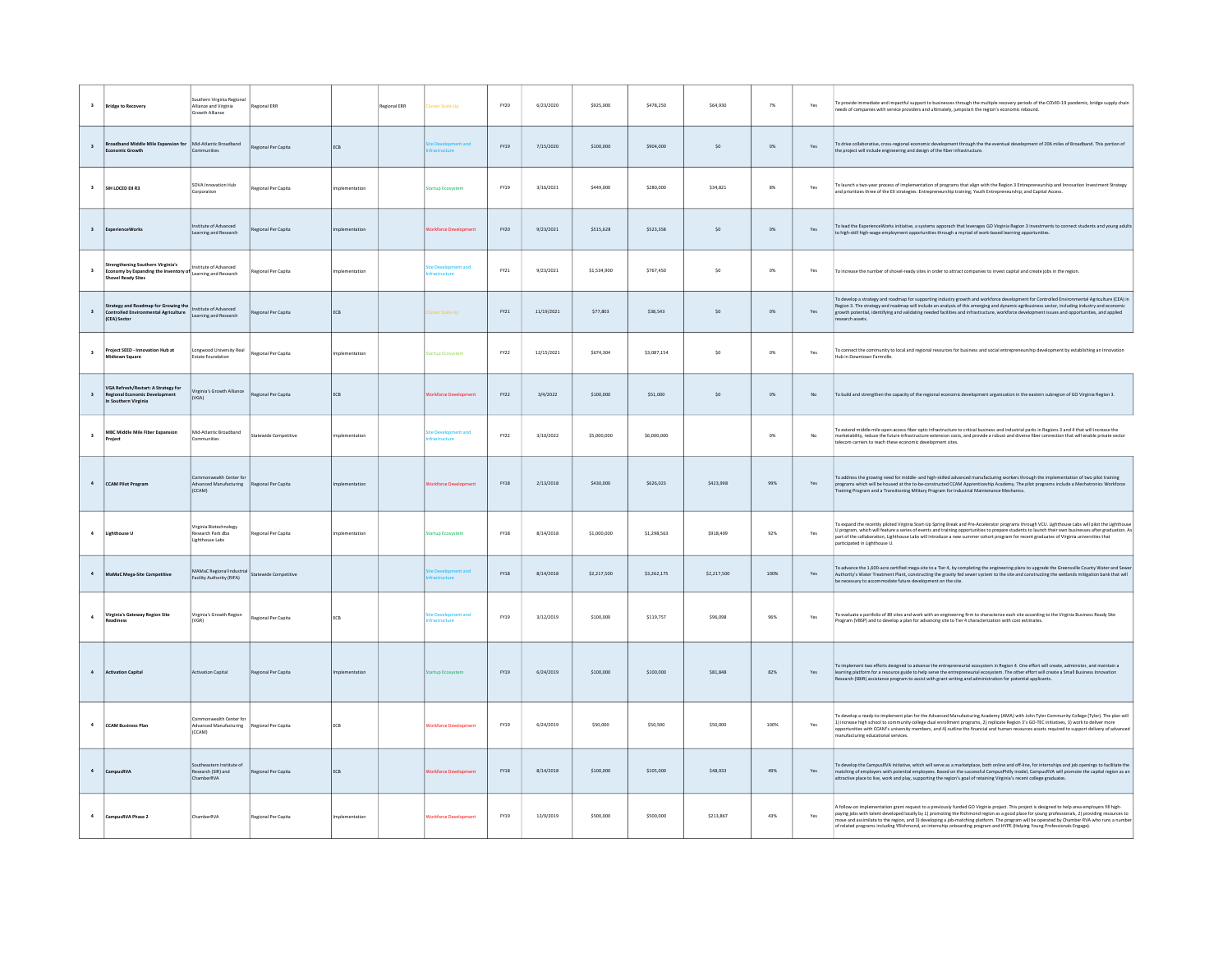| $\mathbf 3$             | <b>Bridge to Recovery</b>                                                                           | Southern Virginia Regional<br>Alliance and Virginia<br>Growth Alliance | Regional ERR          |               | Regional ERR | luster Scale-Up              | FY20        | 6/23/2020  | \$925,000   | \$478,250   | \$64,930    | 7%           | Yes | To provide immediate and impactful support to businesses through the multiple recovery periods of the COVID-19 pandemic, bridge supply chain<br>reeds of companies with service providers and ultimately, jumpstart the region's economic rebound.                                                                                                                                                                                                                                                                                                                             |
|-------------------------|-----------------------------------------------------------------------------------------------------|------------------------------------------------------------------------|-----------------------|---------------|--------------|------------------------------|-------------|------------|-------------|-------------|-------------|--------------|-----|--------------------------------------------------------------------------------------------------------------------------------------------------------------------------------------------------------------------------------------------------------------------------------------------------------------------------------------------------------------------------------------------------------------------------------------------------------------------------------------------------------------------------------------------------------------------------------|
| $\overline{\mathbf{3}}$ | Broadband Middle Mile Expansion for Mid-Atlantic Broadband<br>Franomic Growth                       | Communities                                                            | Regional Per Capita   | ECB           |              |                              | FY19        | 7/15/2020  | \$100,000   | \$904,000   | $\sf{S0}$   | $0\%$        | Yes | To drive collaborative, cross-regional economic development through the the eventual development of 206 miles of Broadband. This portion of<br>the project will include engineering and design of the fiber infrastructure.                                                                                                                                                                                                                                                                                                                                                    |
| $\overline{\mathbf{3}}$ | SIH LOCED FILBS                                                                                     | SOVA Innovation Hub<br>Corporation                                     | Regional Per Capita   | nolementation |              | tartun Frosystem             | FY19        | 3/16/2021  | \$449,000   | \$280,000   | \$34,821    | $8\%$        | Yes | To launch a two-year process of implementation of programs that align with the Region 3 Entrepreneurship and Innovation Investment Strategy<br>and prioritizes three of the Ell strategies: Entrepreneurship training; Youth Entrepreneurship; and Capital Access.                                                                                                                                                                                                                                                                                                             |
| $\mathbf 3$             | ExperienceWorks                                                                                     | hensylva to etutitze<br>earning and Research                           | Regional Per Capita   | nplementation |              | rkforce Developme            | FY20        | 9/23/2021  | \$515,628   | \$523,358   | $\sf{S0}$   | $0\%$        | Yes | To lead the ExperienceWorks initiative, a systems apporach that leverages GO Virginia Region 3 investments to connect students and young adults<br>to high-skill high-wage employment opportunities through a myriad of work-based learning opportunities.                                                                                                                                                                                                                                                                                                                     |
| $\overline{\mathbf{3}}$ | rengthening Southern Virginia's<br>Economy by Expanding the Inventory of<br>vel Ready Sites         | stitute of Advanced<br>Learning and Research                           | Regional Per Capital  | mplementation |              |                              | FY21        | 9/23/2021  | \$1,534,900 | \$767,450   | $\sf{S0}$   | $_{\rm 0\%}$ | Yes | To increase the number of shovel-ready sites in order to attract companies to invest capital and create iobs in the region.                                                                                                                                                                                                                                                                                                                                                                                                                                                    |
| $\overline{\mathbf{3}}$ | Strategy and Roadmap for Growing the<br><b>Controlled Environmental Agriculture</b><br>(CEA) Sector | Institute of Advanced<br>earning and Research                          | Regional Per Capita   | <b>FCB</b>    |              | ister Scale-Uni              | FY21        | 11/19/2021 | \$77,803    | \$38,543    | SO          | 0%           | Yes | To develop a strategy and roadmap for supporting industry growth and workforce development for Controlled Environmental Agriculture (CEA) in<br>Region 3. The strategy and roadmap will include an analysis of this emerging and dynamic agribusiness sector, including industry and economic<br>growth potential, identifying and validating needed facilities and infrastructure, workforce development issues and opportunities, and applied<br>research assets.                                                                                                            |
| $\overline{\mathbf{3}}$ | Project SEED - Innovation Hub at<br>lidtown Square                                                  | ongwood University Real<br><b>Estate Foundation</b>                    | Regional Per Capita   | mplementation |              | artup Ecosystem              | FY22        | 12/15/2021 | \$674,304   | \$3,087,154 | $\sf{S0}$   | $0\%$        | Yes | To connect the community to local and regional resources for business and social entrepreneurship development by establishing an Innovation<br>Hub in Downtown Farmville.                                                                                                                                                                                                                                                                                                                                                                                                      |
|                         | VGA Refresh/Restart: A Strategy for<br>Regional Economic Development<br>Southern Virginia           | Virginia's Growth Alliance<br>(VGA)                                    | Regional Per Capita   | ECB           |              | orkforce Developmer          | FY22        | 3/4/2022   | \$100,000   | \$51,000    | $\sf{S0}$   | $0\%$        | No. | To build and strengthen the capacity of the regional economic development organization in the eastern subregion of GO Virginia Region 3.                                                                                                                                                                                                                                                                                                                                                                                                                                       |
| $\overline{\mathbf{3}}$ | <b>MBC Middle Mile Fiber Expansion</b><br>roject                                                    | Mid-Atlantic Broadband<br>ommunities                                   | Statewide Competitive | nolementation |              | e Development and            | FY22        | 3/10/2022  | \$5,000,000 | \$6,000,000 |             | $0\%$        | No  | To extend middle mile open-access fiber optic infrastructure to critical business and industrial parks in Regions 3 and 4 that will increase the<br>marketability, reduce the future infrastructure extension costs, and provide a robust and diverse fiber connection that will enable private sector<br>telecom carriers to reach these economic development sites.                                                                                                                                                                                                          |
| $\ddot{a}$              | CCAM Pilot Program                                                                                  | ealth Center fo<br>Advanced Manufacturing<br>(CCAM)                    | Regional Per Capita   | nplementation |              | orkforce Deve                | <b>FY18</b> | 2/13/2018  | \$430,000   | \$626,023   | \$423,998   | 99%          | Yes | To address the growing need for middle- and high-skilled advanced manufacturing workers through the implementation of two pilot training<br>programs which will be housed at the to-be-constructed CCAM Apprenticeship Academy. The pilot programs include a Mechatronics Workforce<br>Training Program and a Transitioning Military Program for Industrial Maintenance Mechanics.                                                                                                                                                                                             |
| $\overline{a}$          | Lighthouse U                                                                                        | <b>/irginia Biotechnology</b><br>Research Park dba<br>Lighthouse Labs  | Regional Per Capita   | mplementation |              | <b>Startup Ecosystem</b>     | FY18        | 8/14/2018  | \$1,000,000 | \$1,298,563 | \$918,409   | 92%          | Yes | To expand the recently piloted Virginia Start-Up Spring Break and Pre-Accelerator programs through VCU. Lighthouse Labs will pilot the Lighthouse<br>U program, which will feature a series of events and training opportunities to prepare students to launch their own businesses after graduation. As<br>part of the collaboration, Lighthouse Labs will introduce a new summer cohort program for recent graduates of Virginia universities that<br>participated in Lighthouse U.                                                                                          |
| $\sim$                  | MaMaC Mega-Site Competitive                                                                         | MAMaC Regional Industrial<br>Facility Authority (RIFA)                 | Statewide Competitive |               |              |                              | <b>FY18</b> | 8/14/2018  | \$2,217,500 | \$3,262,175 | \$2,217,500 | 100%         | Yes | o advance the 1,600-acre certified mega-site to a Tier 4, by completing the engineering plans to upgrade the Greensville County Water and Sewe<br>Authority's Water Treatment Plant, constructing the gravity fed sewer system to the site and constructing the wetlands mitigation bank that will<br>be necessary to accommodate future development on the site.                                                                                                                                                                                                              |
| $\ddot{\phantom{a}}$    | Virginia's Gateway Region Site<br>eadiness                                                          | Virginia's Growth Region<br>$(\overline{\text{VGR}})$                  | Regional Per Capita   | ECB           |              | Development and              | FY19        | 3/12/2019  | \$100,000   | \$119,757   | \$96,098    | 96%          | Yes | To evaluate a portfolio of 89 sites and work with an engineering firm to characterize each site according to the Virginia Business Ready Site<br>Program (VBSP) and to develop a plan for advancing site to Tier 4 characterization with cost estimates.                                                                                                                                                                                                                                                                                                                       |
|                         | <b>Activation Capital</b>                                                                           | <b>Activation Capital</b>                                              | Regional Per Capita   | nolementation |              | artup Ecosysten              | FY19        | 6/24/2019  | \$100,000   | \$100,000   | \$81,848    | 82%          | Yes | To implement two efforts designed to advance the entrepreneurial ecosystem in Region 4. One effort will create, administer, and maintain a<br>learning platform for a resource guide to help serve the entrepreneurial ecosystem. The other effort will create a Small Business Innovation<br>lesearch (SBIR) assistance program to assist with grant writing and administration for potential applicants.                                                                                                                                                                     |
| $\ddot{\phantom{a}}$    | CCAM Business Plan                                                                                  | ommonwealth Center fo<br>Advanced Manufacturing<br>(CCAM)              | Regional Per Capita   | ECB           |              | <b>Vorkforce Development</b> | <b>FY19</b> | 6/24/2019  | \$50,000    | \$50,500    | \$50,000    | 100%         | Yes | To develop a ready-to-implement plan for the Advanced Manufacturing Academy (AMA) with John Tyler Community College (Tyler). The plan will<br>1) increase high school to community college dual enrollment programs, 2) replicate Region 3's GO-TEC initiatives, 3) work to deliver more<br>opportunities with CCAM's university members, and 4) outline the financial and human resources assets required to support delivery of advanced<br>manufacturing educational services.                                                                                              |
| $\overline{a}$          | CampusRVA                                                                                           | Southeastern Institute of<br>Research (SIR) and<br>ChamberRVA          | Regional Per Capita   | ECB           |              | orkforce Development         | <b>FY18</b> | 8/14/2018  | \$100,000   | \$105,000   | \$48,933    | 49%          | Yes | To develop the CampusRVA initiative, which will serve as a marketplace, both online and off-line, for internships and job openings to facilitate the<br>matching of employers with potential employees. Based on the successful CampusPhilly model, CampusRVA will promote the capital region as an<br>attractive place to live, work and play, supporting the region's goal of retaining Virginia's recent college graduates.                                                                                                                                                 |
| $\ddot{a}$              | CampusRVA Phase 2                                                                                   | ChamberRVA                                                             | Regional Per Capita   | mplementation |              | <b>Norkforce Development</b> | <b>FY19</b> | 12/9/2019  | \$500,000   | \$500,000   | \$213,867   | 43%          | Yes | A follow-on implementation grant request to a previously funded GO Virginia project. This project is designed to help area employers fill high-<br>paying jobs with talent developed locally by 1) promoting the Richmond region as a good place for young professionals, 2) providing resources to<br>move and assimilate to the region, and 3) developing a job-matching platform. The program will be operated by Chamber RVA who runs a number<br>of related programs including YRichmond, an internship onboarding program and HYPE (Helping Young Professionals Engage). |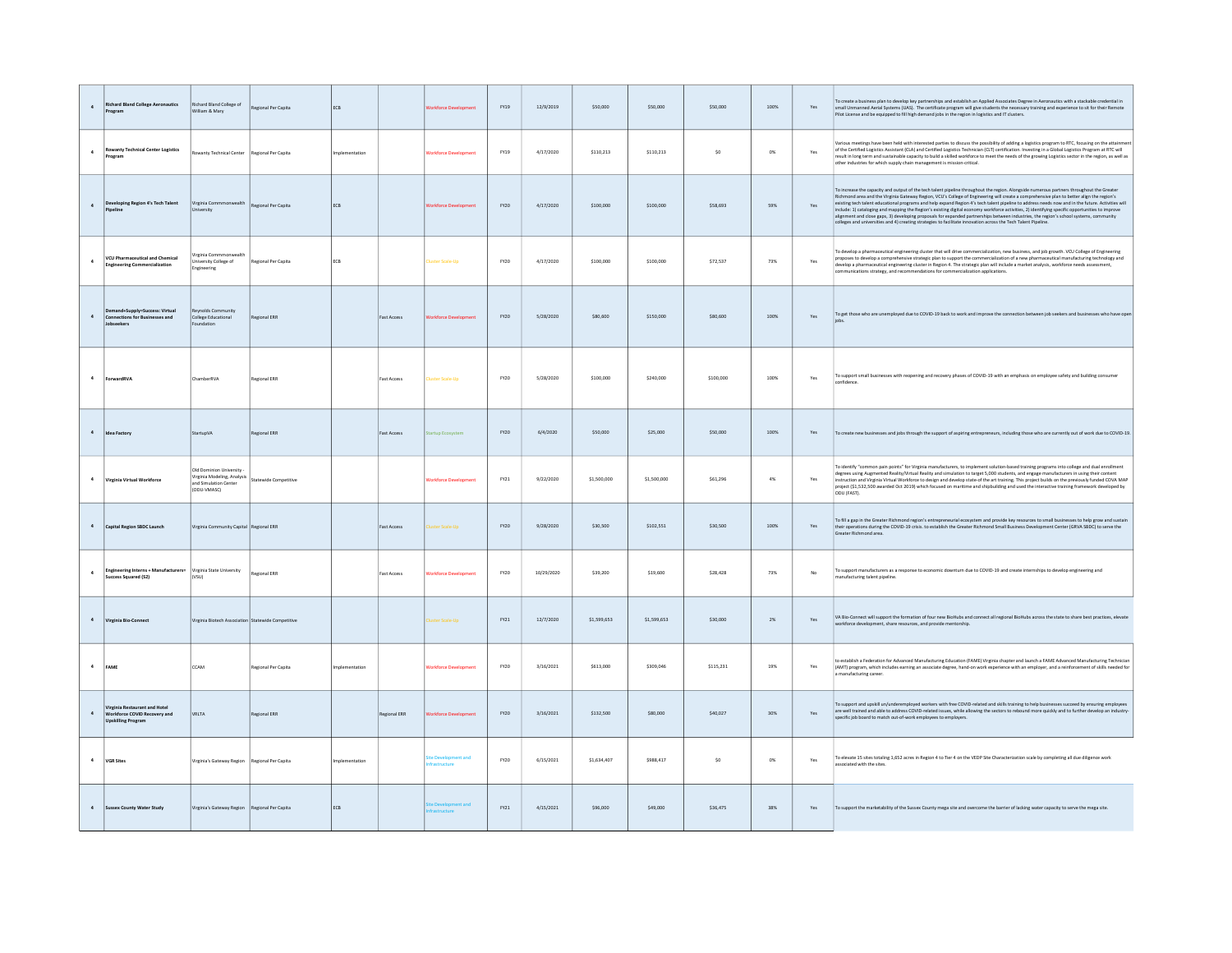| $\Delta$             | <b>Richard Bland College Aeronautics</b><br>rogram                                         | Richard Bland College of<br>William & Mary                                                     | Regional Per Capita         | ECB           |                    |                             | FY19 | 12/9/2019  | \$50,000    | 550,000     | \$50,000  | 100%    | Yes            | To create a business plan to develop key partnerships and establish an Applied Associates Degree in Aeronautics with a stackable credential in<br>small Unmanned Aerial Systems (UAS). The certificate program will give students the necessary training and experience to sit for their Remote<br>Pilot License and be equipped to fill high demand jobs in the region in logistics and IT clusters.                                                                                                                                                                                                                                                                                                                                                                                              |
|----------------------|--------------------------------------------------------------------------------------------|------------------------------------------------------------------------------------------------|-----------------------------|---------------|--------------------|-----------------------------|------|------------|-------------|-------------|-----------|---------|----------------|----------------------------------------------------------------------------------------------------------------------------------------------------------------------------------------------------------------------------------------------------------------------------------------------------------------------------------------------------------------------------------------------------------------------------------------------------------------------------------------------------------------------------------------------------------------------------------------------------------------------------------------------------------------------------------------------------------------------------------------------------------------------------------------------------|
| $\ddot{a}$           | <b>Rowanty Technical Center Logistics</b><br>rogram                                        | wanty Technical Center                                                                         | Regional Per Capita         |               |                    |                             | FY19 | 4/17/2020  | \$110.213   | \$110.213   | S0        | 0%      | Yes            | rious meetings have been held with interested parties to discuss the possibility of adding a logistics program to RTC, focusing on the attain<br>of the Certified Logistics Assistant (CLA) and Certified Logistics Technician (CLT) certification. Investing in a Global Logistics Program at RTC will<br>result in long term and sustainable capacity to build a skilled workforce to meet the needs of the growing Logistics sector in the region, as well as<br>other industries for which supply chain management is mission-critical.                                                                                                                                                                                                                                                        |
| $\ddot{a}$           | Developing Region 4's Tech Talent<br>ineline                                               | Virginia Com<br>wealth<br>University                                                           | Regional Per Capita         | ECB           |                    | orkforce Developmer         | FY20 | 4/17/2020  | \$100,000   | \$100,000   | \$58,693  | 59%     | Yes            | To increase the capacity and output of the tech talent pipeline throughout the region. Alongside numerous partners throughout the Greater<br>Richmond area and the Virginia Gateway Region, VCU's College of Engineering will create a comprehensive plan to better align the region's<br>existing tech talent educational programs and help expand Region 4's tech talent pipeline to address needs now and in the future. Activities will<br>include: 1) cataloging and mapping the Region's existing digital economy workforce activities, 2) identifying specific opportunities to improve<br>alignment and close gaps, 3) developing proposals for expanded partnerships be<br>colleges and universities and 4) creating strategies to facilitate innovation across the Tech Talent Pipeline. |
| $\ddot{a}$           | <b>VCU Pharmaceutical and Chemical</b><br>Ingineering Commercialization                    | irginia Com<br>Jniversity College of<br>Ingineering                                            | Regional Per Capita         | <b>FCB</b>    |                    | ster Scale-Uni              | FY20 | 4/17/2020  | \$100,000   | \$100,000   | \$72,537  | 73%     | Yes            | To develop a pharmaceutical engineering cluster that will drive commercialization, new business, and job growth. VCU College of Engineering<br>proposes to develop a comprehensive strategic plan to support the commercialization of a new pharmaceutical manufacturing technology and<br>develop a pharmaceutical engineering cluster in Region 4. The strategic plan will include a market analysis, workforce needs assessment,<br>communications strategy, and recommendations for commercialization applications.                                                                                                                                                                                                                                                                            |
| $\ddot{a}$           | d+Supply=Success: Virtua<br>Connections for Businesses and<br>Jobseekers                   | Reynolds Community<br>College Educational<br>Foundation                                        | Regional ERR                |               | Fast Access        |                             | FY20 | 5/28/2020  | \$80,600    | \$150,000   | \$80,600  | 100%    | Yes            | To get those who are unemployed due to COVID-19 back to work and improve the connection between job seekers and businesses who have open                                                                                                                                                                                                                                                                                                                                                                                                                                                                                                                                                                                                                                                           |
| $\ddot{a}$           | ForwardRVA                                                                                 | ChamberRVA                                                                                     | Regional ERR                |               | <b>Fast Access</b> | <b>Juster Scale-Up</b>      | FY20 | 5/28/2020  | \$100,000   | \$240,000   | \$100,000 | $100\%$ | $\mathsf{Yes}$ | To support small businesses with reopening and recovery phases of COVID-19 with an emphasis on employee safety and building consumer                                                                                                                                                                                                                                                                                                                                                                                                                                                                                                                                                                                                                                                               |
| $\,$ 4 $\,$          | Idea Factory                                                                               | StartupVA                                                                                      | Regional ERR                |               | Fast Access        | rtup Ecosystem              | FY20 | 6/4/2020   | \$50,000    | \$25,000    | \$50,000  | $100\%$ | Yes            | To create new businesses and jobs through the support of aspiring entrepreneurs, including those who are currently out of work due to COVID-19.                                                                                                                                                                                                                                                                                                                                                                                                                                                                                                                                                                                                                                                    |
| $\ddot{\phantom{a}}$ | Virginia Virtual Workforce                                                                 | Old Dominion University<br>Virginia Modeling, Analysis<br>and Simulation Center<br>(ODU-VMASC) | <b>Statewide Competitiv</b> |               |                    | rkforce Dev                 | FY21 | 9/22/2020  | \$1,500,000 | \$1,500,000 | \$61,296  | $4\%$   | Yes            | To identify "common pain points" for Virginia manufacturers, to implement solution-based training programs into college and dual enrollment<br>degrees using Augmented Reality/Virtual Reality and simulation to target 5,000 students, and engage manufacturers in using their content<br>instruction and Virginia Virtual Workforce to design and develop state-of the art training. This project builds on the previously funded COVA MAP<br>project (\$1,532,500 awarded Oct 2019) which focused on maritime and shipbuilding and used the interactive training framework developed by<br>ODU (FAST).                                                                                                                                                                                          |
| $\ddot{a}$           | Capital Region SBDC Launch                                                                 | /irginia Community Capital Regional ERR                                                        |                             |               | <b>Fast Access</b> | ter Scale-Un                | FY20 | 9/28/2020  | \$30,500    | \$102,551   | \$30,500  | 100%    | Yes            | To fill a gap in the Greater Richmond region's entrepreneurial ecosystem and provide key resources to small businesses to help grow and sustain<br>their operations during the COVID-19 crisis. to establish the Greater Richmond Small Business Development Center (GRVA SBDC) to serve the<br>Greater Richmond area.                                                                                                                                                                                                                                                                                                                                                                                                                                                                             |
| $\ddot{a}$           | <b>Engineering Interns + Manufacturers=</b><br>Success Squared (S2)                        | Virginia State University<br>(VSU)                                                             | Regional ERR                |               | <b>Fast Access</b> | orkforce Developmer         | FY20 | 10/29/2020 | \$39,200    | \$19,600    | \$28,428  | 73%     | No             | To support manufacturers as a response to economic downturn due to COVID-19 and create internships to develop engineering and<br>manufacturing talent pipeline.                                                                                                                                                                                                                                                                                                                                                                                                                                                                                                                                                                                                                                    |
| $\ddot{a}$           | Virginia Bio-Connect                                                                       | Virginia Biotech Association Statewide Competitive                                             |                             |               |                    | ster Scale-Up               | FY21 | 12/7/2020  | \$1,599,653 | \$1,599,653 | \$30,000  | $2\%$   | Yes            | VA Bio-Connect will support the formation of four new BioHubs and connect all regional BioHubs across the state to share best practices, elevate<br>workforce development, share resources, and provide mentorship.                                                                                                                                                                                                                                                                                                                                                                                                                                                                                                                                                                                |
| $\,$ 4 $\,$          | FAME                                                                                       | CCAM                                                                                           | Regional Per Capita         | nplementation |                    | <b>Jorkforce Developmen</b> | FY20 | 3/16/2021  | \$613,000   | \$309,046   | \$115,231 | 19%     | Yes            | to establish a Federation for Advanced Manufacturing Education (FAME) Virginia chapter and launch a FAME Advanced Manufacturing Technician<br>(AMT) program, which includes earning an associate degree, hand-on work experience with an employer, and a reinforcement of skills needed for<br>a manufacturing career.                                                                                                                                                                                                                                                                                                                                                                                                                                                                             |
| $\ddot{a}$           | Virginia Restaurant and Hotel<br>Workforce COVID Recovery and<br><b>Upskilling Program</b> | VRLTA                                                                                          | Regional ERR                |               | Regional ERR       | rkforce Devi                | FY20 | 3/16/2021  | \$132,500   | \$80,000    | \$40,027  | 30%     | Yes            | To support and upskill un/underemployed workers with free COVID-related and skills training to help businesses succeed by ensuring employees<br>are well trained and able to address COVID-related issues, while allowing the sectors to rebound more quickly and to further develop an industry-<br>specific job board to match out-of-work employees to employers.                                                                                                                                                                                                                                                                                                                                                                                                                               |
| $\ddot{a}$           | <b>VGR Sites</b>                                                                           | Virginia's Gateway Region                                                                      | Regional Per Capita         | nlementation  |                    | e Development and           | FY20 | 6/15/2021  | \$1,634,407 | \$988,417   | S0        | $O\%$   | Yes            | To elevate 15 sites totaling 1,652 acres in Region 4 to Tier 4 on the VEDP Site Characterization scale by completing all due diligence work<br>associated with the sites.                                                                                                                                                                                                                                                                                                                                                                                                                                                                                                                                                                                                                          |
| $\overline{a}$       | Sussex County Water Study                                                                  | Virginia's Gateway Region   Regional Per Capita                                                |                             | ECB           |                    |                             | FY21 | 4/15/2021  | \$96,000    | \$49,000    | \$36,475  | 38%     | Yes            | To support the marketability of the Sussex County mega site and overcome the barrier of lacking water capacity to serve the mega site.                                                                                                                                                                                                                                                                                                                                                                                                                                                                                                                                                                                                                                                             |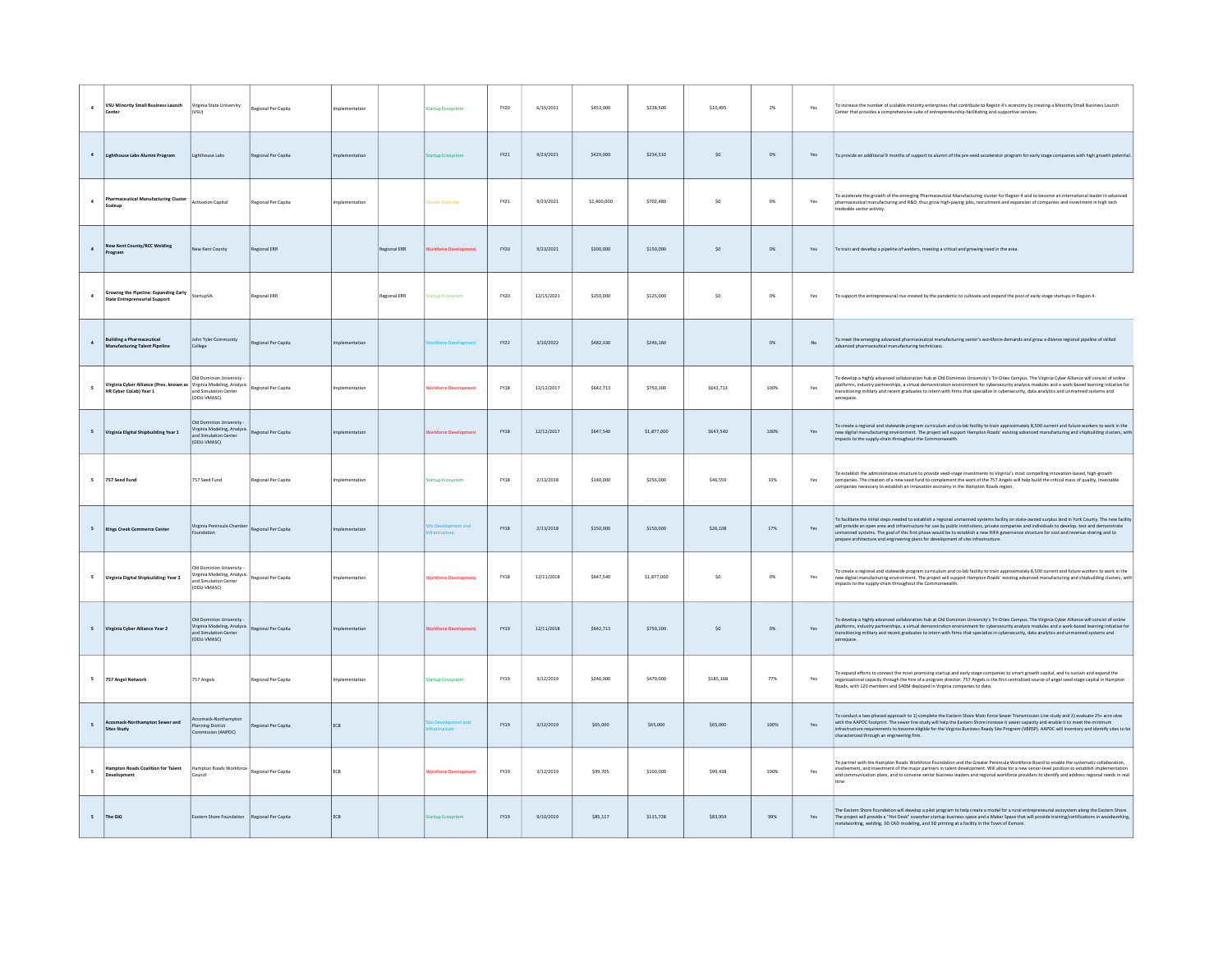| $\ddot{\phantom{a}}$     | VSU Minority Small Business Launch<br>Center                                                  | Virginia State University<br>(VSU)                                                             | Regional Per Capita | mplementation  |              | tartup Ecosystem             | FY20        | 6/15/2021  | \$453,000   | \$228,500   | \$10,495  | $2\%$ | Yes            | To increase the number of scalable minority enterprises that contribute to Region 4's economy by creating a Minority Small Business Launch<br>Center that provides a comprehensive suite of entrepreneurship-facilitating and supportive services.                                                                                                                                                                                                                                                                                         |
|--------------------------|-----------------------------------------------------------------------------------------------|------------------------------------------------------------------------------------------------|---------------------|----------------|--------------|------------------------------|-------------|------------|-------------|-------------|-----------|-------|----------------|--------------------------------------------------------------------------------------------------------------------------------------------------------------------------------------------------------------------------------------------------------------------------------------------------------------------------------------------------------------------------------------------------------------------------------------------------------------------------------------------------------------------------------------------|
| $\sim$                   | Lighthouse Labs Alumni Program                                                                | Lighthouse Labs                                                                                | Regional Per Capita | nolementation  |              | tartup Eco                   | FY21        | 9/23/2021  | \$429,000   | \$234,510   | SO        | $0\%$ | Yes            | To provide an additional 9 months of support to alumni of the pre-seed accelerator program for early stage companies with high growth potential.                                                                                                                                                                                                                                                                                                                                                                                           |
|                          | <b>Pharmaceutical Manufacturing Cluster</b><br>Scaleup                                        | <b>Activation Capital</b>                                                                      | Regional Per Capita | Implementation |              | <b>Juster Scale-Up</b>       | FY21        | 9/23/2021  | \$1,400,000 | \$702,480   | \$0       | $0\%$ | Yes            | To accelerate the growth of the emerging Pharmaceutical Manufacturing cluster for Region 4 and to become an international leader in advanced<br>pharmaceutical manufacturing and R&D, thus grow high-paying jobs, recruitment and expansion of companies and investment in high tech<br>radeable sector activity.                                                                                                                                                                                                                          |
| $\Delta$                 | New Kent County/RCC Welding<br>rogram                                                         | New Kent County                                                                                | Regional ERR        |                | Regional ERR | orkforce Dev                 | EY20        | 9/23/2021  | \$300,000   | \$150,000   | \$0       | $0\%$ | Yes            | To train and develop a pipeline of welders, meeting a critical and growing need in the area.                                                                                                                                                                                                                                                                                                                                                                                                                                               |
| $\sim$                   | Growing the Pipeline: Expanding Early<br><b>State Entrepreneurial Support</b>                 | StartunVA                                                                                      | <b>Regional ERR</b> |                | Regional ERR | tartun Frosystem             | FY20        | 12/15/2021 | \$250,000   | \$125,000   | SO        | $0\%$ | Yes            | To support the entrepreneurial rise created by the pandemic to cultivate and expand the pool of early-stage startups in Region 4.                                                                                                                                                                                                                                                                                                                                                                                                          |
|                          | <b>Building a Pharmaceutical</b><br>Manufacturing Talent Pipeline                             | John Tyler Community<br>College                                                                | Regional Per Capita | mplementation  |              |                              | FY22        | 3/10/2022  | \$482,330   | \$246,160   |           | $0\%$ | No             | To meet the emerging advanced pharmaceutical manufacturing sector's workforce demands and grow a diverse regional pipeline of skilled<br>advanced pharmaceutical manufacturing technicians.                                                                                                                                                                                                                                                                                                                                                |
|                          | Virginia Cyber Alliance (Prev. known as Virginia Modeling, Analysis<br>HR Cyber CoLab) Year 1 | Old Dominion University<br>and Simulation Center<br>(ODU-VMASC)                                | Regional Per Capita | mplementation  |              | <b>Vorkforce Developmer</b>  | <b>FY18</b> | 12/12/2017 | \$642,713   | \$750,100   | \$642,713 | 100%  | Yes            | To develop a highly advanced collaboration hub at Old Dominion University's Tri-Cities Campus. The Virginia Cyber Alliance will consist of online<br>platforms, industry partnerships, a virtual demonstration environment for cybersecurity analysis modules and a work-based learning initiative for<br>transitioning military and recent graduates to intern with firms that specialize in cybersecurity, data analytics and unmanned systems and<br>erospace.                                                                          |
| 5                        | Virginia Digital Shipbuilding Year 1                                                          | Old Dominion University<br>Virginia Modeling, Analysis<br>and Simulation Center<br>(ODU-VMASC) | Regional Per Capita | mplementation  |              | <b>Vorkforce Development</b> | <b>FY18</b> | 12/12/2017 | \$647,540   | \$1,877,000 | \$647,540 | 100%  | Yes            | Fo create a regional and statewide program curriculum and co-lab facility to train approximately 8,500 current and future workers to work in the<br>new digital manufacturing environment. The project will support Hampton Roads' existing advanced manufacturing and shipbuilding clusters, with<br>mpacts to the supply-chain throughout the Commonwealth                                                                                                                                                                               |
| 5                        | 757 Seed Fund                                                                                 | 757 Seed Fund                                                                                  | Regional Per Capita | Implementation |              | tartup Ecosystem             | <b>FY18</b> | 2/13/2018  | \$140,000   | \$256,000   | \$46,559  | 33%   | Yes            | To establish the administrative structure to provide seed-stage investments to Virginia's most compelling innovation-based, high-growth<br>companies. The creation of a new seed fund to complement the work of the 757 Angels will help build the critical mass of quality, investable<br>companies necessary to establish an innovation economy in the Hampton Roads region.                                                                                                                                                             |
|                          | Kings Creek Commerce Center                                                                   | Virginia Peninsula Chambe<br>Foundation                                                        | Regional Per Capita | nplementation  |              |                              | <b>FY18</b> | 2/13/2018  | \$150,000   | \$150,000   | \$26,108  | 17%   | Yes            | To facilitate the initial steps needed to establish a regional unmanned systems facility on state-owned surplus land in York County. The new facility<br>will provide an open area and infrastructure for use by public institutions, private companies and individuals to develop, test and demonstrate<br>unmanned systems. The goal of this first phase would be to establish a new RIFA governance structure for cost and revenue sharing and to<br>prepare architecture and engineering plans for development of site infrastructure. |
| 5                        | Virginia Digital Shipbuilding: Year 2                                                         | Old Dominion University<br>Virginia Modeling, Analysis<br>and Simulation Center<br>(ODU-VMASC) | Regional Per Capita | mplementation  |              | <b>Norkforce Developmen</b>  | FY18        | 12/11/2018 | \$647,540   | \$1,877,000 | \$0       | $0\%$ | $\mathsf{Yes}$ | To create a regional and statewide program curriculum and co-lab facility to train approximately 8,500 current and future workers to work in the<br>new digital manufacturing environment. The project will support Hampton Roads' existing advanced manufacturing and shipbuilding clusters, with<br>mpacts to the supply-chain throughout the Commonwealth.                                                                                                                                                                              |
| 5                        | Virginia Cyber Alliance Year 2                                                                | Old Dominion University<br>Virginia Modeling, Analysis<br>and Simulation Center<br>(ODU-VMASC) | Regional Per Capita | nlementation   |              | <b>Vorkforce Developmen</b>  | FY19        | 12/11/2018 | \$642,713   | \$750,100   | SO        | 0%    | Yes            | To develop a highly advanced collaboration hub at Old Dominion University's Tri-Cities Campus. The Virginia Cyber Alliance will consist of online<br>platforms, industry partnerships, a virtual demonstration environment for cybersecurity analysis modules and a work-based learning initiative for<br>transitioning military and recent graduates to intern with firms that specialize in cybersecurity, data analytics and unmanned systems and<br>aerospace.                                                                         |
| $\overline{\phantom{a}}$ | 757 Angel Network                                                                             | 757 Angels                                                                                     | Regional Per Capita | mplementation  |              | tartup Ecosystem             | FY19        | 3/12/2019  | \$240,000   | \$479,000   | \$185,168 | 77%   | Yes            | To expand efforts to connect the most promising startup and early stage companies to smart growth capital, and to sustain and expand the<br>organizational capacity through the hire of a program director. 757 Angels is the first centralized source of angel seed stage capital in Hampton<br>Roads, with 120 members and \$40M deployed in Virginia companies to date.                                                                                                                                                                 |
|                          | omack-Northampton Sewer and<br><b>Sites Study</b>                                             | Accomack-Northampton<br><b>Planning District</b><br>Commission (ANPDC)                         | Regional Per Capita | ECB            |              |                              | FY19        | 3/12/2019  | \$65,000    | \$65,000    | \$65,000  | 100%  | Yes            | To conduct a two-phased approach to 1) complete the Eastern Shore Main Force Sewer Transmission Line study and 2) evaluate 25+ acre sites<br>with the AAPDC footprint. The sewer line study will help the Eastern Shore increase it sewer capacity and enable it to meet the minimum<br>infrastructure requirements to become eligible for the Virginia Business Ready Site Program (VBRSP). AAPDC will inventory and identify sites to be<br>characterized through an engineering firm.                                                   |
|                          | Hampton Roads Coalition for Talent                                                            | Hampton Roads Workforce<br>Council                                                             | Regional Per Capita | ECB            |              | <b>Vorkforce Development</b> | <b>FY19</b> | 3/12/2019  | \$99,705    | \$100,000   | \$99,438  | 100%  | Yes            | To partner with the Hampton Roads Workforce Foundation and the Greater Peninsula Workforce Board to enable the systematic collaboration.<br>involvement, and investment of the major partners in talent development. Will allow for a new senior-level position to establish implementation<br>and communication plans, and to convene senior business leaders and regional workforce providers to identify and address regional needs in real                                                                                             |
| 5                        | The GIG                                                                                       | Eastern Shore Foundation                                                                       | Regional Per Capita | ECB            |              |                              | FY19        | 9/10/2019  | \$85,117    | \$115,728   | \$83,959  | 99%   | Yes            | The Eastern Shore Foundation will develop a pilot program to help create a model for a rural entrepreneurial ecosystem along the Eastern Shore.<br>The project will provide a "Hot Desk" coworker startup business space and a Maker Space that will provide training/certifications in woodworking,<br>netalworking, welding, 3D CAD modeling, and 3D printing at a facility in the Town of Exmore.                                                                                                                                       |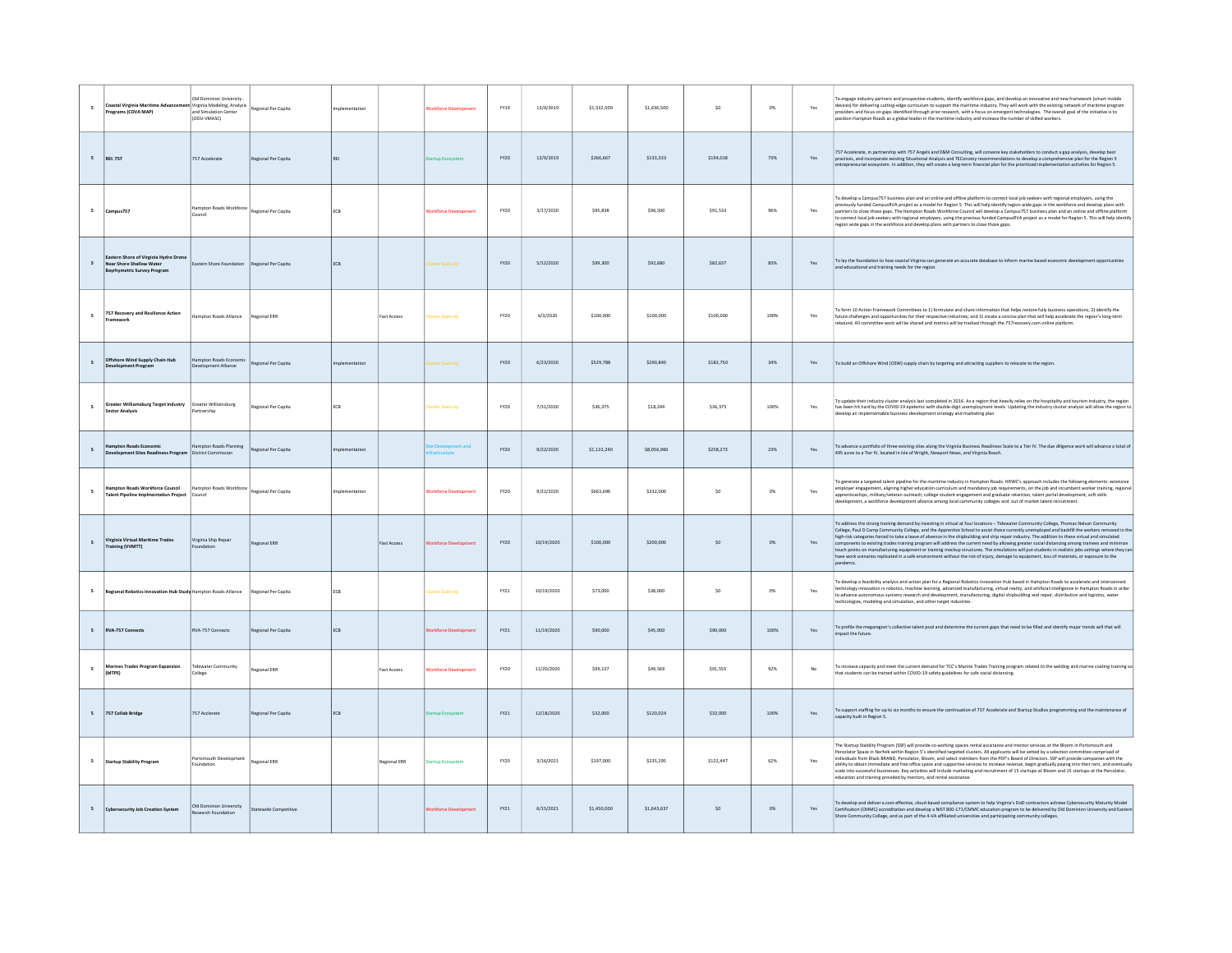| $\overline{\phantom{a}}$ | Coastal Virginia Maritime Adv<br>rograms (COVA MAP)                                                  | Old Dominion University<br>Virginia Modeling, Analysis<br>and Simulation Center<br>(ODU-VMASC) | Regional Per Capita   | mplementation |                    | <b>Jorkforce Development</b> | FY19        | 12/9/2019  | \$1,532,500 | \$1,636,500 | \$0       | $0\%$ | Yes | To engage industry partners and prospective students, identify workforce gaps, and develop an innovative and new framework (smart mobile<br>devices) for delivering cutting-edge curriculum to support the maritime industry. They will work with the existing network of maritime program<br>providers and focus on gaps identified through prior research, with a focus on emergent technologies. The overall goal of the initiative is to<br>osition Hampton Roads as a global leader in the maritime industry and increase the number of skilled workers.                                                                                                                                                                                                                                                                                                                                                    |
|--------------------------|------------------------------------------------------------------------------------------------------|------------------------------------------------------------------------------------------------|-----------------------|---------------|--------------------|------------------------------|-------------|------------|-------------|-------------|-----------|-------|-----|------------------------------------------------------------------------------------------------------------------------------------------------------------------------------------------------------------------------------------------------------------------------------------------------------------------------------------------------------------------------------------------------------------------------------------------------------------------------------------------------------------------------------------------------------------------------------------------------------------------------------------------------------------------------------------------------------------------------------------------------------------------------------------------------------------------------------------------------------------------------------------------------------------------|
| $\mathsf{s}$             | <b>REI: 757</b>                                                                                      | 757 Accelerate                                                                                 | Regional Per Capita   |               |                    | tartup Ecosys                | FY20        | 12/9/2019  | \$266,667   | \$133,333   | \$194,018 | 73%   | Yes | 757 Accelerate, in partnership with 757 Angels and E&M Consulting, will convene key stakeholders to conduct a gap analysis, develop best<br>practices, and incorporate existing Situational Analysis and TEConomy recommendations to develop a comprehensive plan for the Region 5<br>repreneurial ecosystem. In addition, they will create a long-term financial plan for the prioritized implementation activities for Region 5.                                                                                                                                                                                                                                                                                                                                                                                                                                                                               |
|                          | Campus757                                                                                            | ampton Roads Workforo<br>Council                                                               | Regional Per Capita   | ECB           |                    | <b>Jorkforce Developmen</b>  | FY20        | 3/17/2020  | \$95,838    | \$96,500    | \$91,533  | 96%   | Yes | lo develop a Campus757 business plan and an online and offline platform to connect local job seekers with regional employers, using the<br>previously funded CampusRVA project as a model for Region 5. This will help identify region wide gaps in the workforce and develop plans with<br>partners to close those gaps. The Hampton Roads Workforce Council will develop a<br>to connect local job seekers with regional employers, using the previous funded CampusRVA project as a model for Region 5. This will help identify<br>region wide gaps in the workforce and develop plans with partners to close those gaps.                                                                                                                                                                                                                                                                                     |
| 5                        | Eastern Shore of Virginia Hydro Dror<br><b>Near Shore Shallow Water</b><br>yrhymetric Survey Program | Eastern Shore Foundation                                                                       | Regional Per Capita   | ECB           |                    | uster Scale-Up               | <b>FY20</b> | 5/12/2020  | \$99,300    | \$92,680    | \$82,637  | 83%   | Yes | To lay the foundation to how coastal Virginia can generate an accurate database to inform marine based economic development opportunities<br>and educational and training needs for the region.                                                                                                                                                                                                                                                                                                                                                                                                                                                                                                                                                                                                                                                                                                                  |
| 5                        | 757 Recovery and Resilience Action                                                                   | Hampton Roads Alliance                                                                         | Regional ERR          |               | <b>Fast Access</b> | <b>Iuster Scale-Up</b>       | FY20        | 6/3/2020   | \$100,000   | \$100,000   | \$100,000 | 100%  | Yes | To form 10 Action Framework Committees to 1) formulate and share information that helps restore fully business operations; 2) identify the<br>future challenges and opportunities for their respective industries; and 3) create a concise plan that will help accelerate the region's long-term<br>ebound. All committee work will be shared and metrics will be tracked through the 757recovery.com online platform.                                                                                                                                                                                                                                                                                                                                                                                                                                                                                           |
|                          | Offshore Wind Supply Chain Hub<br><b>Development Program</b>                                         | lampton Roads Economic<br>evelopment Alliance                                                  | Regional Per Capita   |               |                    | ster Scale-Up                | <b>FY20</b> | 6/23/2020  | \$529,788   | \$290,840   | \$182,750 | 34%   | Yes | To build an Offshore Wind (OSW) supply chain by targeting and attracting suppliers to relocate to the region.                                                                                                                                                                                                                                                                                                                                                                                                                                                                                                                                                                                                                                                                                                                                                                                                    |
| 5                        | Greater Williamsburg Target Industry<br><b>Sector Analysis</b>                                       | Greater Williamsburg<br>artnership                                                             | Regional Per Capita   | ECB           |                    | luster Scale-Up              | FY20        | 7/31/2020  | \$36,375    | \$18,244    | \$36,375  | 100%  | Yes | To update their industry cluster analysis last completed in 2016. As a region that heavily relies on the hospitality and tourism industry, the region<br>has been hit hard by the COVID-19 epidemic with double-digit unemployment levels. Updating the industry cluster analysis will allow the region to<br>develop an implementable business development strategy and marketing plan                                                                                                                                                                                                                                                                                                                                                                                                                                                                                                                          |
| $\epsilon$               | <b>Impton Roads Economic</b><br>elopment Sites Readiness Program   District Commission               | lampton Roads Planning                                                                         | Regional Per Capita   |               |                    |                              | EY20        | 9/22/2020  | \$1,122,240 | \$8,056,960 | \$258,273 | 23%   | Yes | To advance a portfolio of three existing sites along the Virginia Business Readiness Scale to a Tier IV. The due diligence work will advance a total of<br>495 acres to a Tier IV, located in Isle of Wright, Newport News, and Virginia Beach.                                                                                                                                                                                                                                                                                                                                                                                                                                                                                                                                                                                                                                                                  |
| 5                        | Hampton Roads Workforce Council<br><b>Talent Pipeline Implmentation Project</b>                      | Hampton Roads Workforce<br>Council                                                             | Regional Per Capita   | nolementation |                    | <b>orkforce Deve</b>         | FY20        | 9/22/2020  | \$663,696   | \$332,000   | \$0       | 0%    | Yes | o generate a targeted talent pipeline for the maritime industry in Hampton Roads. HRWC's approach indudes the following elements: extensive<br>employer engagement, aligning higher education curriculum and mandatory job requirements, on the job and incumbent worker training, regional<br>apprenticeships, military/veteran outreach, college student engagement and graduate retention, talent portal development, soft skills<br>development, a workforce development alliance among local community colleges and out of market talent recruitment.                                                                                                                                                                                                                                                                                                                                                       |
| 5                        | Virginia Virtual Maritime Trades<br>Training (VVMTT)                                                 | Virginia Ship Repair                                                                           | Regional ERR          |               | <b>Fast Access</b> | orkforce Deve                | <b>FY20</b> | 10/19/2020 | \$100,000   | \$200,000   | \$0       | $O\%$ | Yes | To address the strong training demand by investing in virtual at four locations - Tidewater Community College, Thomas Nelson Community<br>College, Paul D Camp Community College, and the Apprentice School to assist those currently unemployed and backfill the workers removed in the<br>high-risk categories forced to take a leave of absence in the shipbuilding and ship repair industry. The addition to these virtual and simulated<br>components to existing trades training program will address the current need by allowing greater social distancing among trainees and minimize<br>touch points on manufacturing equipment or training mockup structures. The simulations will put students in realistic jobs settings where they can<br>have work scenarios replicated in a safe environment without the risk of injury, damage to equipment, loss of materials, or exposure to the<br>pandemic. |
|                          | Regional Robotics Innovation Hub Study Hampton Roads Alliance                                        |                                                                                                | Regional Per Capita   | FCR           |                    | <b>Inster Scale-Un</b>       | FY21        | 10/19/2020 | \$73,000    | \$38,000    | SO        | 0%    | Yes | l'o develop a feasibility analysis and action plan for a Regional Robotics Innovation Hub based in Hampton Roads to accelerate and interconnect<br>technology innovation in robotics, machine learning, advanced manufacturing, virtual reality, and artificial intelligence in Hampton Roads in order<br>to advance autonomous systems research and development, manufacturing, digital shipbuilding and repair, distribution and logistics, water<br>technologies, modeling and simulation, and other target industries.                                                                                                                                                                                                                                                                                                                                                                                       |
|                          | <b>RVA-757 Connects</b>                                                                              | RVA-757 Connects                                                                               | Regional Per Capita   | ECB           |                    | orkforce Deve                | FY21        | 11/19/2020 | \$90,000    | \$45,000    | \$90,000  | 100%  | Yes | To profile the megaregion's collective talent pool and determine the current gaps that need to be filled and identify major trends will that will<br>mpact the future                                                                                                                                                                                                                                                                                                                                                                                                                                                                                                                                                                                                                                                                                                                                            |
| 5                        | <b>Marines Trades Program Expansion</b><br>(MTPE)                                                    | idewater Com<br>College                                                                        | <b>Regional ERR</b>   |               | <b>Fast Access</b> | <b>Jorkforce Developmen</b>  | FY20        | 11/20/2020 | \$99,137    | \$49,569    | \$91,555  | 92%   | No  | To increase capacity and meet the current demand for TCC's Marine Trades Training program related to the welding and marine coating training so<br>that students can be trained within COVID-19 safety guidelines for safe social distancing.                                                                                                                                                                                                                                                                                                                                                                                                                                                                                                                                                                                                                                                                    |
| 5                        | 757 Collab Bridge                                                                                    | 757 Acclerate                                                                                  | Regional Per Capita   | ECB           |                    | artup Ecosyste               | FY21        | 12/18/2020 | \$32,000    | \$120,024   | \$32,000  | 100%  | Yes | To support staffing for up to six months to ensure the continuation of 757 Accelerate and Startup Studios programming and the maintenance of<br>capacity built in Region S.                                                                                                                                                                                                                                                                                                                                                                                                                                                                                                                                                                                                                                                                                                                                      |
|                          | <b>Startup Stability Program</b>                                                                     | Portsmouth Development<br>oundation                                                            | Regional ERR          |               | Regional ERR       | artup Ecosysten              | FY20        | 3/16/2021  | \$197,000   | \$235,295   | \$122,447 | 62%   | Yes | The Startup Stability Program (SSP) will provide co-working spaces rental assistance and mentor services at the Bloom in Portsmouth and<br>Percolator Space in Norfolk within Region 5's identified targeted clusters. All applicants will be vetted by a selection committee comprised of<br>individuals from Black BRAND, Percolator, Bloom, and select members from the PDF's Board of Directors. SSP will provide companies with the<br>ability to obtain immediate and free office space and supportive services to increase revenue, begin gradually paying into their rent, and eventually<br>scale into successful businesses. Key activities will include marketing and recruitment of 15 startups at Bloom and 15 startups at the Percolator,<br>education and training provided by mentors, and rental assistance.                                                                                    |
|                          | <b>Cybersecurity Job Creation System</b>                                                             | Old Dominion University<br>Research Foundation                                                 | itatewide Competitive |               |                    | orkforce Developn            | FY21        | 6/15/2021  | \$1,450,000 | \$1,643,637 | SO        | 0%    | Yes | To develop and deliver a cost-effective, cloud-based compliance system to help Virginia's DoD contractors achieve Cybersecurity Maturity Model<br>Certification (CMMC) accreditation and develop a NIST 800-171/CMMC education program to be delivered by Old Dominion University and Eastern<br>Shore Community College, and as part of the 4-VA affiliated universities and participating community colleges.                                                                                                                                                                                                                                                                                                                                                                                                                                                                                                  |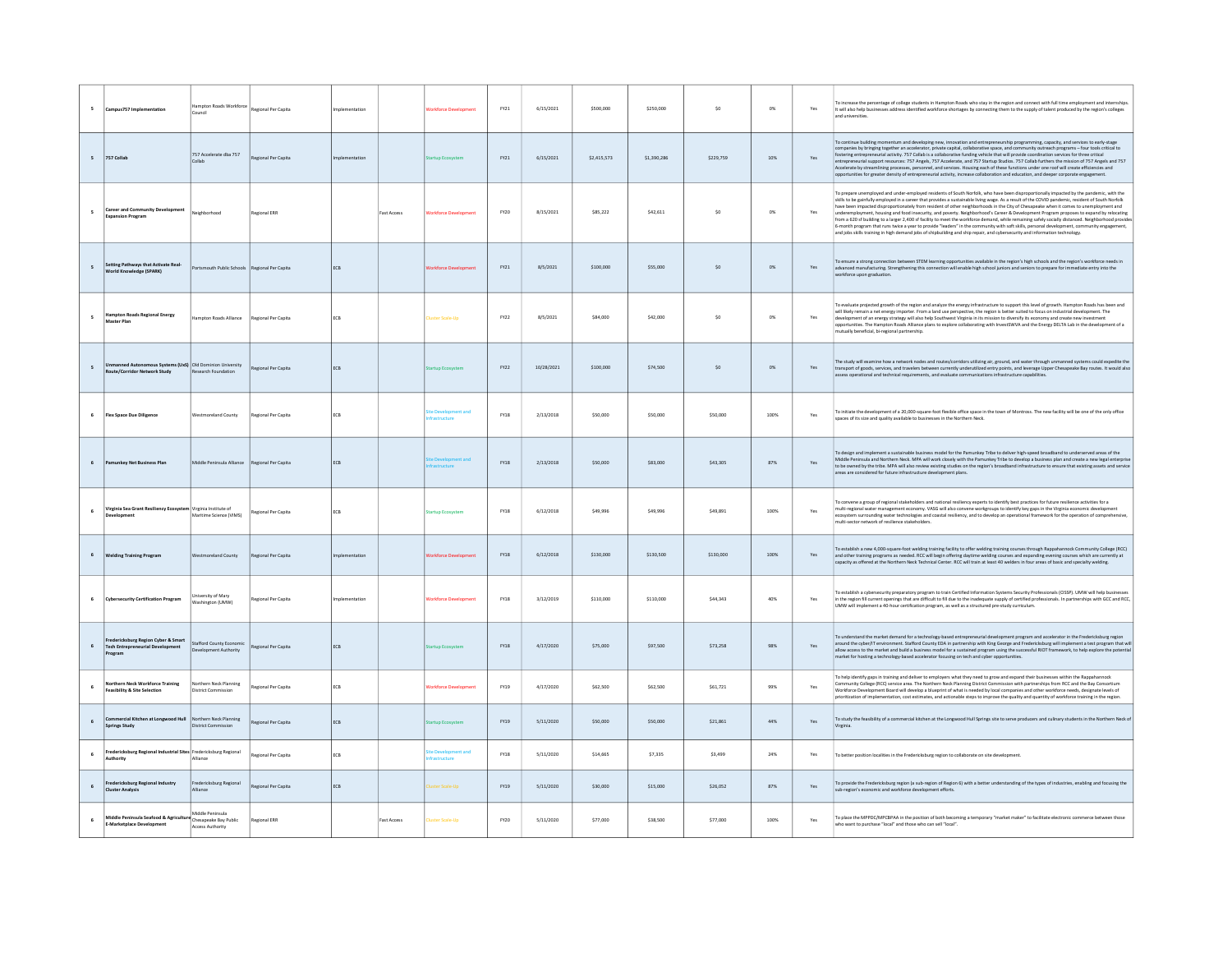| 5            | Campus757 Implementation                                                                         | Hampton Roads Workforce Regional Per Capita                   |                            | Implementation |                    | <b>Vorkforce Development</b> | FY21        | 6/15/2021  | \$500,000   | \$250,000   | so        | $0\%$  | Yes | o increase the percentage of college students in Hampton Roads who stay in the region and connect with full time employment and internships<br>It will also help businesses address identified workforce shortages by connecting them to the supply of talent produced by the region's colleges<br>and universities.                                                                                                                                                                                                                                                                                                                                                                                                                                                                                                                                                                                                                                                                                                 |
|--------------|--------------------------------------------------------------------------------------------------|---------------------------------------------------------------|----------------------------|----------------|--------------------|------------------------------|-------------|------------|-------------|-------------|-----------|--------|-----|----------------------------------------------------------------------------------------------------------------------------------------------------------------------------------------------------------------------------------------------------------------------------------------------------------------------------------------------------------------------------------------------------------------------------------------------------------------------------------------------------------------------------------------------------------------------------------------------------------------------------------------------------------------------------------------------------------------------------------------------------------------------------------------------------------------------------------------------------------------------------------------------------------------------------------------------------------------------------------------------------------------------|
| $\sim$       | 757 Collab                                                                                       | 757 Accelerate dba 757                                        | Regional Per Capita        |                |                    |                              | FY21        | 6/15/2021  | \$2,415,573 | \$1,390,286 | \$229,759 | 10%    | Yes | To continue building momentum and developing new, innovation and entrepreneurship programming, capacity, and services to early-stage<br>companies by bringing together an accelerator, private capital, collaborative space, and community outreach programs - four tools critical to<br>Fostering entrepreneurial activity. 757 Collab is a collaborative funding vehicle that will provide coordination services for three critical<br>entrepreneurial support resources: 757 Angels, 757 Accelerate, and 757 Startup St<br>Accelerate by streamlining processes, personnel, and services. Housing each of these functions under one roof will create efficiencies and<br>opportunities for greater density of entrepreneurial activity, increase collaboration and education, and deeper corporate engagement.                                                                                                                                                                                                    |
|              | <b>Career and Community Development</b><br>xpansion Program                                      | Neighborhood                                                  | <b>Regional ERR</b>        |                | <b>Fast Access</b> | <b>Vorkforce Development</b> | FY20        | 8/15/2021  | \$85,222    | \$42,611    | \$0       | $O\%$  | Yes | o prepare unemployed and under-employed residents of South Norfolk, who have been disproportionally impacted by the pandemic, with the<br>skills to be gainfully employed in a career that provides a sustainable living wage. As a result of the COVID pandemic, resident of South Norfolk<br>have been impacted disproportionately from resident of other neighborhoods in the City of Chesapeake when it comes to unemployment and<br>underemployment, housing and food insecurity, and poverty. Neighborhood's Career & Development Program proposes to expand by relocating<br>from a 620 sf building to a larger 2,400 sf facility to meet the workforce demand, while remaining safely socially distanced. Neighborhood provides<br>6-month program that runs twice a year to provide "leaders" in the community with soft skills, personal development, community engagement,<br>and jobs skills training in high demand jobs of shipbuilding and ship repair, and cybersecurity and information technology. |
|              | Setting Pathways that Activate Real-<br>World Knowledge (SPARK)                                  | Portsmouth Public Schools Regional Per Capita                 |                            | ECB            |                    | Vorkforce Developmen         | FY21        | 8/5/2021   | \$100,000   | \$55,000    | \$0       | $0\%$  | Yes | To ensure a strong connection between STEM learning opportunities available in the region's high schools and the region's workforce needs in<br>advanced manufacturing. Strengthening this connection will enable high school juniors and seniors to prepare for immediate entry into the<br>vorkforce upon graduation.                                                                                                                                                                                                                                                                                                                                                                                                                                                                                                                                                                                                                                                                                              |
|              | <b>Hampton Roads Regional Energy</b><br>Master Plan                                              | Hampton Roads Alliance                                        | Regional Per Capita        | ECB            |                    | luster Scale-Up              | FY22        | 8/5/2021   | \$84,000    | \$42,000    | \$0       | $0\%$  | Yes | l'o evaluate projected growth of the region and analyze the energy infrastructure to support this level of growth. Hampton Roads has been and<br>will likely remain a net energy importer. From a land use perspective, the region is better suited to focus on industrial development. The<br>development of an energy strategy will also help Southwest Virginia in its mission<br>opportunities. The Hampton Roads Alliance plans to explore collaborating with InvestSWVA and the Energy DELTA Lab in the development of a<br>mutually beneficial, bi-regional partnership.                                                                                                                                                                                                                                                                                                                                                                                                                                      |
|              | Unmanned Autonomous Systems (UxS) Old Dominion University<br><b>Route/Corridor Network Study</b> | Research Foundation                                           | Regional Per Capita        | ECB            |                    | tartup Ecosysten             | FY22        | 10/28/2021 | \$100,000   | \$74,500    | SO        | $O\%$  | Yes | The study will examine how a network nodes and routes/corridors utilizing air, ground, and water through unmanned systems could expedite the<br>transport of goods, services, and travelers between currently underutilized entry points, and leverage Upper Chesapeake Bay routes. It would also<br>assess operational and technical requirements, and evaluate communications infrastructure capabilities.                                                                                                                                                                                                                                                                                                                                                                                                                                                                                                                                                                                                         |
|              | <b>Flex Space Due Dilizence</b>                                                                  | Westmoreland County                                           | Regional Per Capita        | FCB            |                    | <b>Development and</b>       | <b>FY18</b> | 2/13/2018  | \$50,000    | \$50,000    | \$50,000  | 100%   | Yes | To initiate the development of a 20,000-square-foot flexible office space in the town of Montross. The new facility will be one of the only office<br>spaces of its size and quality available to businesses in the Northern Neck.                                                                                                                                                                                                                                                                                                                                                                                                                                                                                                                                                                                                                                                                                                                                                                                   |
|              | Pamunkey Net Business Plan                                                                       | Middle Peninsula Alliance                                     | Regional Per Capita        | ECB            |                    |                              | <b>FY18</b> | 2/13/2018  | \$50,000    | \$83,000    | \$43,305  | 87%    | Yes | To design and implement a sustainable business model for the Pamunkey Tribe to deliver high-speed broadband to underserved areas of the<br>Middle Peninsula and Northern Neck. MPA will work closely with the Pamunkey Tribe to develop a business plan and create a new legal enterpris<br>to be owned by the tribe. MPA will also review existing studies on the region's broadband infrastructure to ensure that existing assets and service<br>areas are considered for future infrastructure development plans.                                                                                                                                                                                                                                                                                                                                                                                                                                                                                                 |
| 6            | Virginia Sea Grant Resiliency Ecosystem Virginia Institute of                                    | Maritime Science (VIMS)                                       | <b>Regional Per Capita</b> | ECB            |                    | artup Ecosysten              | FY18        | 6/12/2018  | \$49,996    | \$49,996    | \$49,891  | 100%   | Yes | To convene a group of regional stakeholders and national resiliency experts to identify best practices for future resilience activities for a<br>multi-regional water management economy. VASG will also convene workgroups to identify key gaps in the Virginia economic development<br>ecosystem surrounding water technologies and coastal resiliency, and to develop an operat<br>multi-sector network of resilience stakeholders.                                                                                                                                                                                                                                                                                                                                                                                                                                                                                                                                                                               |
|              | <b>Welding Training Program</b>                                                                  | <b>Westmoreland County</b>                                    | Regional Per Capita        | mplementation  |                    | orkforce Developmen          | <b>FY18</b> | 6/12/2018  | \$130,000   | \$130,500   | \$130,000 | 100%   | Yes | To establish a new 4,000-square-foot welding training facility to offer welding training courses through Rappahannock Community College (RCC)<br>and other training programs as needed. RCC will begin offering daytime welding courses and expanding evening courses which are currently at<br>capacity as offered at the Northern Neck Technical Center. RCC will train at least 40 welders in four areas of basic and specialty welding.                                                                                                                                                                                                                                                                                                                                                                                                                                                                                                                                                                          |
| 6            | <b>Cybersecurity Certification Program</b>                                                       | University of Mary<br>Washington (UMW)                        | Regional Per Capita        | Implementation |                    | <b>Vorkforce Development</b> | FY18        | 3/12/2019  | \$110,000   | \$110,000   | \$44,343  | 40%    | Yes | o establish a cybersecurity preparatory program to train Certified Information Systems Security Professionals (CISSP). UMW will help businesse<br>in the region fill current openings that are difficult to fill due to the inadequate supply of certified professionals. In partnerships with GCC and RCC,<br>UMW will implement a 40-hour certification program, as well as a structured pre-study curriculum.                                                                                                                                                                                                                                                                                                                                                                                                                                                                                                                                                                                                     |
|              | Fredericksburg Region Cyber & Smart<br><b>Tech Entrepreneurial Development</b><br>ogram          | Stafford County Economic<br>Development Authority             | Regional Per Capita        | ECB            |                    | tartup Ecosystem             | <b>FY18</b> | 4/17/2020  | \$75,000    | \$97,500    | \$73,258  | $98\%$ | Yes | To understand the market demand for a technology-based entrepreneurial development program and accelerator in the Fredericksburg region<br>around the cyber/IT environment. Stafford County EDA in partnership with King George and Fredericksburg will implement a test program that will<br>allow access to the market and build a business model for a sustained program using the successful RIOT framework, to help explore the potential<br>market for hosting a technology-based accelerator focusing on tech and cyber opportunities.                                                                                                                                                                                                                                                                                                                                                                                                                                                                        |
|              | <b>Jorthern Neck Workforce Training</b><br><b>Feasibility &amp; Site Selection</b>               | Vorthern Neck Planning<br><b>District Commission</b>          | Regional Per Capita        | ECB            |                    | <b>Vorkforce Development</b> | <b>FY19</b> | 4/17/2020  | \$62,500    | \$62,500    | \$61,721  | 99%    | Yes | To help identify gaps in training and deliver to employers what they need to grow and expand their businesses within the Rappahannock<br>Community College (RCC) service area. The Northern Neck Planning District Commission with partnerships from RCC and the Bay Consortium<br>Workforce Development Board will develop a blueprint of what is needed by local companies and other workforce needs, designate levels of<br>prioritization of implementation, cost estimates, and actionable steps to improve the quality and quantity of workforce training in the region.                                                                                                                                                                                                                                                                                                                                                                                                                                       |
|              | cial Kitchen at Longwood Hull Northern Neck Planning<br>Springs Study                            | <b>District Commission</b>                                    | Regional Per Capita        | ECB            |                    | artup Ecosystem              | FY19        | 5/11/2020  | \$50,000    | \$50,000    | \$21,861  | $44\%$ | Yes | To study the feasibility of a commercial kitchen at the Longwood Hull Springs site to serve producers and culinary students in the Northern Neck of                                                                                                                                                                                                                                                                                                                                                                                                                                                                                                                                                                                                                                                                                                                                                                                                                                                                  |
| 6            | redericksburg Regional Industrial Sites Fredericksburg Regional<br>Authority                     | Alliance                                                      | Regional Per Capita        | ECB            |                    |                              | <b>FY18</b> | 5/11/2020  | \$14,665    | \$7,335     | \$3,499   | 24%    | Yes | To better position localities in the Fredericksburg region to collaborate on site development.                                                                                                                                                                                                                                                                                                                                                                                                                                                                                                                                                                                                                                                                                                                                                                                                                                                                                                                       |
| $\mathbf{6}$ | Fredericksburg Regional Industry<br><b>Cluster Analysis</b>                                      | Fredericksburg Regional<br>Alliance                           | Regional Per Capita        | ECB            |                    | uster Scale-Up               | FY19        | 5/11/2020  | \$30,000    | \$15,000    | \$26,052  | 87%    | Yes | To provide the Fredericksburg region (a sub-region of Region 6) with a better understanding of the types of industries, enabling and focusing the<br>ub-region's economic and workforce development efforts.                                                                                                                                                                                                                                                                                                                                                                                                                                                                                                                                                                                                                                                                                                                                                                                                         |
| 6            | Middle Peninsula Seafood & Agricultu<br><b>E-Marketplace Development</b>                         | Middle Peninsula<br>Chesapeake Bay Public<br>Access Authority | Regional ERR               |                | Fast Access        | uster Scale-Up               | FY20        | 5/11/2020  | \$77,000    | \$38,500    | \$77,000  | 100%   | Yes | To place the MPPDC/MPCBPAA in the position of both becoming a temporary "market maker" to facilitate electronic commerce between those<br>who want to purchase "local" and those who can sell "local".                                                                                                                                                                                                                                                                                                                                                                                                                                                                                                                                                                                                                                                                                                                                                                                                               |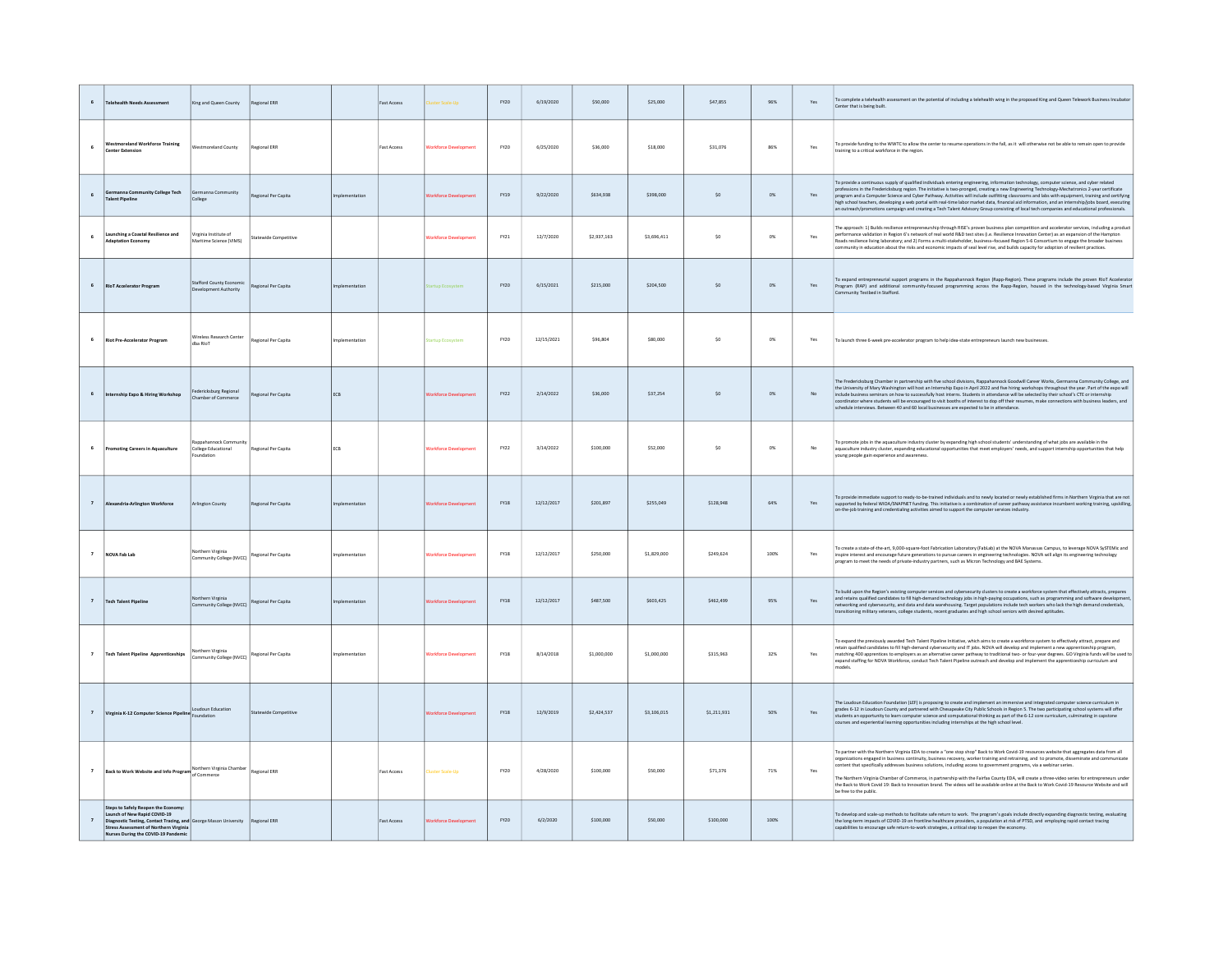|                         | chealth Needs Assess                                                                                                                                                                           | Ging and Queen County                                   | Regional ERR                 |               | <b>Fast Access</b> |                        | EY20        | 6/19/2020  | \$50,000    | \$25,000    | \$47,855    | 96%   | Yes                           | To complete a telehealth assessment on the potential of including a telehealth wing in the proposed King and Queen Telework Business Incubator<br>Center that is being built.                                                                                                                                                                                                                                                                                                                                                                                                                                                                                                                                                                        |
|-------------------------|------------------------------------------------------------------------------------------------------------------------------------------------------------------------------------------------|---------------------------------------------------------|------------------------------|---------------|--------------------|------------------------|-------------|------------|-------------|-------------|-------------|-------|-------------------------------|------------------------------------------------------------------------------------------------------------------------------------------------------------------------------------------------------------------------------------------------------------------------------------------------------------------------------------------------------------------------------------------------------------------------------------------------------------------------------------------------------------------------------------------------------------------------------------------------------------------------------------------------------------------------------------------------------------------------------------------------------|
| 6                       | <b>Westmoreland Workforce Training</b><br><b>Center Extension</b>                                                                                                                              | Vestmoreland County                                     | Regional ERR                 |               | <b>Fast Access</b> | orkforce Develops      | FY20        | 6/25/2020  | \$36,000    | \$18,000    | \$31.076    | 86%   | Yes                           | To provide funding to the WWTC to allow the center to resume operations in the fall, as it will otherwise not be able to remain open to provide<br>raining to a critical workforce in the region                                                                                                                                                                                                                                                                                                                                                                                                                                                                                                                                                     |
| 6                       | anna Community College Tech<br><b>Talent Pipeline</b>                                                                                                                                          | Germanna Community<br>College                           | Regional Per Capita          |               |                    | rkforce Develo         | FY19        | 9/22/2020  | \$634,938   | \$398,000   | SO          | 0%    | Yes                           | To provide a continuous supply of qualified individuals entering engineering, information technology, computer science, and cyber related<br>professions in the Fredericksburg region. The initiative is two-pronged, creating a new Engineering Technology-Mechatronics 2-year certificate<br>program and a Computer Science and Cyber Pathway. Activities will include outfitting classrooms and labs with equipment, training and certifying<br>high school teachers, developing a web portal with real-time labor market dat<br>outreach/promotions campaign and creating a Tech Talent Advisory Group consisting of local tech companies and educational professionals.                                                                         |
|                         | Launching a Coastal Resilience and<br><b>Adaptation Economy</b>                                                                                                                                | /irginia Institute of<br>Maritime Science (VIMS)        | <b>Statewide Competitive</b> |               |                    | orkforce Development   | FY21        | 12/7/2020  | \$2,937,163 | \$3,696,411 | \$0         | $0\%$ | Yes                           | The approach: 1) Builds resilience entrepreneurship through RISE's proven business plan competition and accelerator services, including a product<br>performance validation in Region 6's network of real world R&D test sites (i.e. Resilience Innovation Center) as an expansion of the Hampton<br>Roads resilience living laboratory: and 2) Forms a multi-stakeholder. business-focused Region 5-6 Consortium to engage the broader business<br>ommunity in education about the risks and economic impacts of seal level rise, and builds capacity for adoption of resilient practices.                                                                                                                                                          |
|                         | <b>RIoT Accelerator Program</b>                                                                                                                                                                | Stafford County Economi<br><b>Development Authority</b> | Regional Per Capita          | nentation     |                    | rtup Ec                | FY20        | 6/15/2021  | \$215,000   | \$204,500   | \$0         | $0\%$ | $\operatorname{\mathsf{Yes}}$ | To expand entrepreneurial support programs in the Rappahannock Region (Rapp-Region). These programs include the proven RIoT Accelerator<br>Program (RAP) and additional community-focused programming across the Rapp-Region, housed in the technology-based Virginia Smart<br>unity Testbed in Stafford.                                                                                                                                                                                                                                                                                                                                                                                                                                            |
| 6                       | <b>Riot Pre-Accelerator Program</b>                                                                                                                                                            | Nireless Research Center<br>dba Riol                    | Regional Per Capita          | nlementation  |                    | <b>Irtun Frosysten</b> | FY20        | 12/15/2021 | \$96,804    | \$80,000    | S0          | 0%    | Yes                           | To launch three 6-week pre-accelerator program to help idea-state entrepreneurs launch new businesses.                                                                                                                                                                                                                                                                                                                                                                                                                                                                                                                                                                                                                                               |
|                         | ternship Expo & Hiring Workshop                                                                                                                                                                | dericksburg Regional<br>Chamber of Commerce             | Regional Per Capita          | ECB           |                    | kforce Dew             | FY22        | 2/14/2022  | \$36,000    | \$37,254    | $\sf{S0}$   | $0\%$ | No                            | The Fredericksburg Chamber in partnership with five school divisions, Rappahannock Goodwill Career Works, Germanna Community College, and<br>the University of Mary Washington will host an Internship Expo in April 2022 and five hiring workshops throughout the year. Part of the expo will include business seminars on how to successfully host interns. Students in a<br>ordinator where students will be encouraged to visit booths of interest to dop off their resumes, make connections with business leaders, and<br>schedule interviews. Between 40 and 60 local businesses are expected to be in attendance.                                                                                                                            |
| 6                       | <b>Promoting Careers in Aquaculture</b>                                                                                                                                                        | nnock Con<br><b>College Educational</b><br>indation     | Regional Per Capita          | ECB           |                    | orkforce Developmen    | FY22        | 3/14/2022  | \$100,000   | \$52,000    | S0          | 0%    | No                            | To promote jobs in the aquaculture industry cluster by expanding high school students' understanding of what jobs are available in the<br>aquaculture industry cluster, expanding educational opportunities that meet employers' needs, and support internship opportunities that help<br>young people gain experience and awareness.                                                                                                                                                                                                                                                                                                                                                                                                                |
| $\overline{\mathbf{z}}$ | <b>Nexandria-Arlington Workforce</b>                                                                                                                                                           | Arlington County                                        | Regional Per Capita          | nolementation |                    | rkforce Developmer     | FY18        | 12/12/2017 | \$201,897   | \$255,049   | \$128,948   | 64%   | Yes                           | To provide immediate support to ready-to-be-trained individuals and to newly located or newly established firms in Northern Virginia that are not<br>supported by federal WIOA/SNAPNET funding. This initiative is a combination of career pathway assistance incumbent working training, upskilling,<br>on-the-job training and credentialing activities aimed to support the computer services industry.                                                                                                                                                                                                                                                                                                                                           |
| $\overline{\mathbf{z}}$ | NOVA Fab Lab                                                                                                                                                                                   | Northern Virginia<br>Community College (NVCC)           | Regional Per Capita          | nolementation |                    | orkforce Developmen    | FY18        | 12/12/2017 | \$250,000   | \$1,829,000 | \$249,624   | 100%  | Yes                           | To create a state-of-the-art, 9,000-square-foot Fabrication Laboratory (FabLab) at the NOVA Manassas Campus, to leverage NOVA SySTEMic and<br>inspire interest and encourage future generations to pursue careers in engineering technologies. NOVA will align its engineering technology<br>program to meet the needs of private-industry partners, such as Micron Technology and BAE Systems.                                                                                                                                                                                                                                                                                                                                                      |
| $\overline{7}$          | <b>Tech Talent Pipeline</b>                                                                                                                                                                    | Northern Virginia<br>Community College (NVCC)           | Regional Per Capita          |               |                    | <b>Groven De</b>       | <b>EY18</b> | 12/12/2017 | \$487,500   | 250.2022    | \$462,499   | 95%   | Yes                           | To build upon the Region's existing computer services and cybersecurity clusters to create a workforce system that effectively attracts, prepares<br>and retains qualified candidates to fill high-demand technology jobs in high-paying occupations, such as programming and software development<br>networking and cybersecurity, and data and data warehousing. Target populations include tech workers who lack the high demand credentials,<br>transitioning military veterans, college students, recent graduates and high school seniors with desired aptitudes.                                                                                                                                                                              |
| $\overline{z}$          | <b>Tech Talent Pipeline Apprenticeships</b>                                                                                                                                                    | Northern Virginia<br>ommunity College (NVCC)            | Regional Per Capita          |               |                    | <b>Inkforce De</b>     | <b>EY18</b> | 8/14/2018  | \$1,000,000 | \$1,000,000 | \$315,963   | 32%   | Yes                           | To expand the previously awarded Tech Talent Pipeline Initiative, which aims to create a workforce system to effectively attract, prepare and<br>retain qualified candidates to fill high-demand cybersecurity and IT jobs. NOVA will develop and implement a new apprenticeship program,<br>matching 400 apprentices to employers as an alternative career pathway to traditional two- or four-year degrees. GO Virginia funds will be used to<br>expand staffing for NOVA Workforce, conduct Tech Talent Pipeline outreach and develop and implement the apprenticeship curriculum and                                                                                                                                                             |
| $\overline{7}$          | Virginia K-12 Computer Science Pipeline                                                                                                                                                        | oudoun Education<br>oundation                           | Statewide Competitive        |               |                    |                        | <b>EY18</b> | 12/9/2019  | \$2,424,537 | \$3,106,015 | \$1,211,931 | 50%   | Yes                           | The Loudoun Education Foundation (LEF) is proposing to create and implement an immersive and integrated computer science curriculum in<br>grades 6-12 in Loudoun County and partnered with Chesapeake City Public Schools in Region 5. The two participating school systems will offer<br>students an opportunity to learn computer science and computational thinking as part of the 6-12 core curriculum, culminating in capstone<br>courses and experiential learning opportunities including internships at the high school level.                                                                                                                                                                                                               |
|                         | Back to Work Website and Info Program Normern Virgi                                                                                                                                            | Northern Virginia Chamber                               | <b>Regional ERR</b>          |               | Fast Access        |                        | FY20        | 4/28/2020  | \$100,000   | \$50,000    | \$71.376    | 71%   | Yes                           | To partner with the Northern Virginia EDA to create a "one stop shop" Back to Work Covid-19 resources website that aggregates data from all<br>organizations engaged in business continuity, business recovery, worker training and retraining, and to promote, disseminate and communicate<br>intent that specifically addresses business solutions, including access to government programs, via a webinar series.<br>The Northern Virginia Chamber of Commerce, in partnership with the Fairfax County EDA, will create a three-video series for entrepreneurs under<br>the Back to Work Covid 19: Back to Innovation brand. The videos will be available online at the Back to Work Covid-19 Resource Website and will<br>be free to the public. |
|                         | Steps to Safely Reopen the Economy:<br>aunch of New Rapid COVID-19<br>Diagnostic Testing, Contact Tracing, and<br>tress Assessment of Northern Virginia<br>Nurses During the COVID-19 Pandemic | eorge Mason University                                  | Regional ERR                 |               | <b>Fast Access</b> | orkforce Develop       | <b>FY20</b> | 6/2/2020   | \$100,000   | \$50,000    | \$100,000   | 100%  |                               | To develop and scale-up methods to facilitate safe return to work. The program's goals include directly expanding diagnostic testing, evaluating<br>the long-term impacts of COVID-19 on frontline healthcare providers, a population at risk of PTSD, and employing rapid contact tracing<br>apabilities to encourage safe return-to-work strategies, a critical step to reopen the economy.                                                                                                                                                                                                                                                                                                                                                        |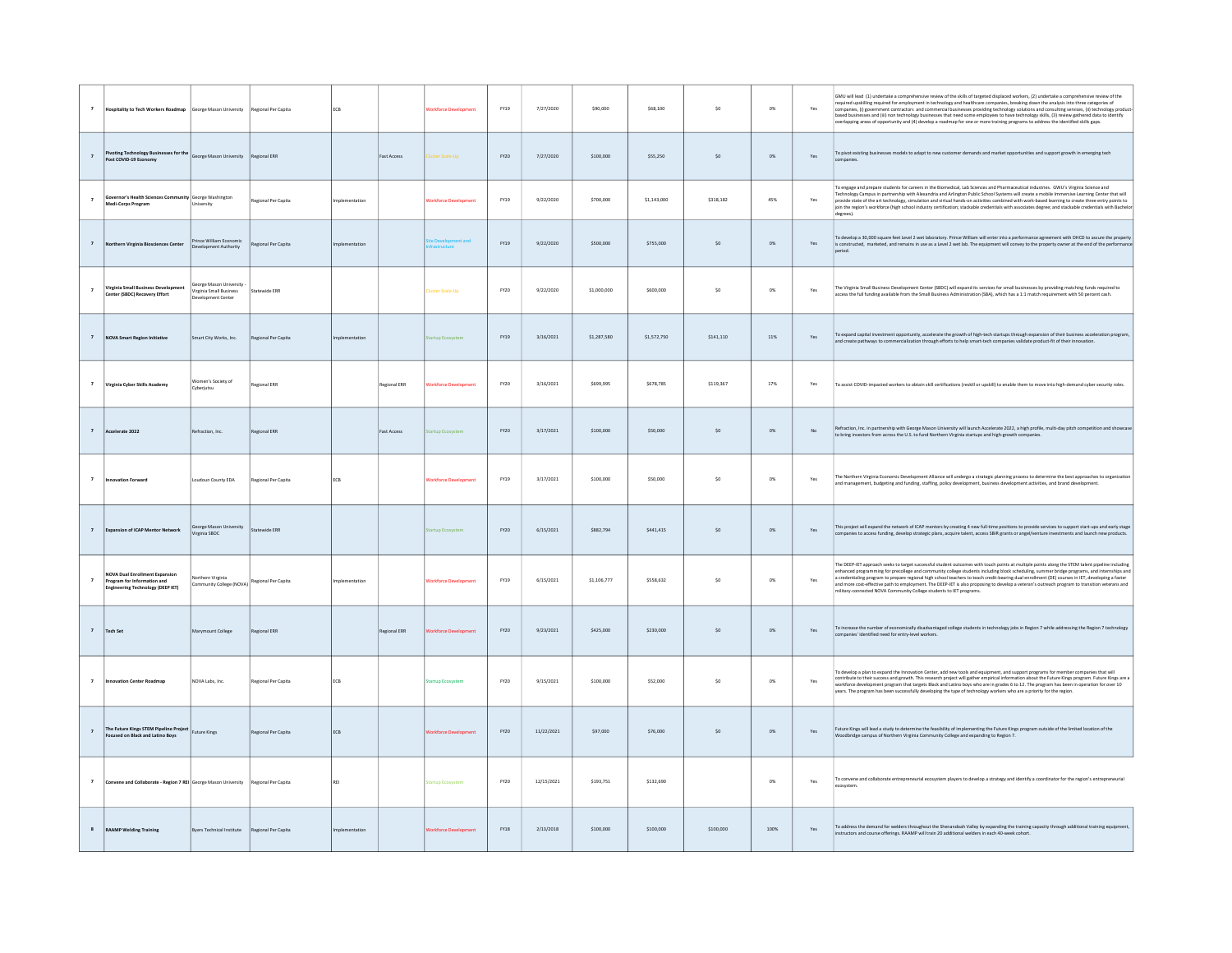| $\overline{7}$           | Hospitality to Tech Workers Roadmap George Mason University                                               |                                                                   | Regional Per Capita | ECB            |              | <b>Vorkforce Development</b> | FY19        | 7/27/2020  | \$90,000    | \$68,100    | $\sf{S0}$ | $0\%$        | Yes | GMU will lead (1) undertake a comprehensive review of the skills of targeted displaced workers. (2) undertake a comprehensive review of the<br>required upskilling required for employment in technology and healthcare companies, breaking down the analysis into three categories of<br>companies, (i) government contractors and commercial businesses providing technology solutions and consulting services, (ii) technology productions and consulting services, (ii) technology productions and (iii) non technol<br>overlapping areas of opportunity and (4) develop a roadmap for one or more training programs to address the identified skills gaps. |
|--------------------------|-----------------------------------------------------------------------------------------------------------|-------------------------------------------------------------------|---------------------|----------------|--------------|------------------------------|-------------|------------|-------------|-------------|-----------|--------------|-----|-----------------------------------------------------------------------------------------------------------------------------------------------------------------------------------------------------------------------------------------------------------------------------------------------------------------------------------------------------------------------------------------------------------------------------------------------------------------------------------------------------------------------------------------------------------------------------------------------------------------------------------------------------------------|
|                          | ting Technology Bu<br>ses for the<br>Post COVID-19 Economy                                                | George Mason University                                           | Regional ERR        |                | Fast Access  | luster Scale-Up              | FY20        | 7/27/2020  | \$100,000   | \$55,250    | $\sf{S0}$ | $0\%$        | Yes | To pivot existing businesses models to adapt to new customer demands and market opportunities and support growth in emerging tech                                                                                                                                                                                                                                                                                                                                                                                                                                                                                                                               |
| $\overline{\phantom{a}}$ | Governor's Health Sciences Community George Washington<br>Medi-Corps Program                              | University                                                        | Regional Per Capita | Implementation |              | <b>Norkforce Development</b> | <b>FY19</b> | 9/22/2020  | \$700,000   | \$1,143,000 | \$318,182 | 45%          | Yes | To engage and prepare students for careers in the Biomedical, Lab Sciences and Pharmaceutical industries. GWU's Virginia Science and<br>l'echnology Campus in partnership with Alexandria and Arlington Public School Systems will create a mobile Immersive Learning Center that will<br>provide state of the art technology, simulation and virtual hands-on activities combined with work-based learning to create three entry points to<br>join the region's workforce (high school industry certification; stackable credentials with associates degree; and stackable credentials with Bachelor<br>degrees).                                              |
|                          | <b>Iorthern Virginia Biosciences Center</b>                                                               | rince William Economic<br>Development Authority                   | Regional Per Capita | nplementation  |              |                              | FY19        | 9/22/2020  | \$500,000   | \$755,000   | \$0       | $O\%$        | Yes | To develop a 30,000 square feet Level 2 wet laboratory. Prince William will enter into a performance agreement with DHCD to assure the property<br>is constructed, marketed, and remains in use as a Level 2 wet lab. The equipme<br>eriod.                                                                                                                                                                                                                                                                                                                                                                                                                     |
|                          | Virginia Small Business Development<br>Center (SBDC) Recovery Effort                                      | orge Mason University<br>Virginia Small Business<br>Hooment Cente | Statewide ERR       |                |              | <b>Juster Scale-Up</b>       | <b>FY20</b> | 9/22/2020  | \$1,000,000 | \$600,000   | \$0       | $_{\rm O\%}$ | Ye: | The Virginia Small Business Development Center (SBDC) will expand its services for small businesses by providing matching funds required to<br>access the full funding available from the Small Business Administration (SBA), which has a 1:1 match requirement with 50 percent cash.                                                                                                                                                                                                                                                                                                                                                                          |
|                          | <b>NOVA Smart Region Initiative</b>                                                                       | Smart City Works, Inc.                                            | Regional Per Capita | mentation      |              | irtun Fra                    | FY19        | 3/16/2021  | \$1,287,580 | \$1,572,750 | \$141,110 | 11%          | Yes | To expand capital investment opportunity, accelerate the growth of high-tech startups through expansion of their business acceleration program,<br>and create pathways to commercialization through efforts to help smart-tech companies validate product-fit of their innovation.                                                                                                                                                                                                                                                                                                                                                                              |
| $\overline{z}$           | Virginia Cyber Skills Academy                                                                             | Women's Society of<br>Cyberjutsu                                  | Regional ERR        |                | Regional ERR | orkforce De                  | FY20        | 3/16/2021  | \$699,995   | \$678,785   | \$119,367 | 17%          | Yes | To assist COVID-impacted workers to obtain skill certifications (reskill or upskill) to enable them to move into high-demand cyber security roles.                                                                                                                                                                                                                                                                                                                                                                                                                                                                                                              |
|                          | Accelerate 2022                                                                                           | Refraction, Inc.                                                  | Regional ERR        |                | Fast Access  |                              | FY20        | 3/17/2021  | \$100,000   | \$50,000    | SO        | $O\%$        | No  | Refraction, Inc. in partnership with George Mason University will launch Accelerate 2022, a high profile, multi-day pitch competition and showcase<br>to bring investors from across the U.S. to fund Northern Virginia startups and high-growth companies.                                                                                                                                                                                                                                                                                                                                                                                                     |
|                          | ovation Forware                                                                                           | Loudoun County EDA                                                | Regional Per Capita | ECB            |              | orkforce Dew                 | FY19        | 3/17/2021  | \$100,000   | \$50,000    | $\sf{S0}$ | $O\%$        | Ye: | The Northern Virginia Economic Development Alliance will undergo a strategic planning process to determine the best approaches to organization<br>and management, budgeting and funding, staffing, policy development, business development activities, and brand development.                                                                                                                                                                                                                                                                                                                                                                                  |
| $\overline{z}$           | <b>Expansion of ICAP Mentor Network</b>                                                                   | George Mason University<br>Virginia SBDC                          | Statewide ERR       |                |              | tartup Ecosystem             | FY20        | 6/15/2021  | \$882,794   | \$441,415   | \$0       | $O\%$        | Yes | This project will expand the network of ICAP mentors by creating 4 new full-time positions to provide services to support start-ups and early stage<br>npanies to access funding, develop strategic plans, acquire talent, access SBIR grants or angel/venture investments and launch new products.                                                                                                                                                                                                                                                                                                                                                             |
|                          | NOVA Dual Enrollment Expansion<br>Program for Information and<br><b>Engineering Technology (DEEP IET)</b> | <b>Iorthern Virginia</b><br>Community College (NOVA)              | Regional Per Capita | nplementation  |              | Vorkforce Developmen         | FY19        | 6/15/2021  | \$1,106,777 | \$558,632   | $\sf S0$  | $0\%$        | Yes | The DEEP-IET approach seeks to target successful student outcomes with touch points at multiple points along the STEM talent pipeline including<br>enhanced programming for precollege and community college students including block scheduling, summer bridge programs, and internships and<br>a credentialing program to prepare regional high school teachers to teach credit-be<br>and more cost-effective path to employment. The DEEP-IET is also proposing to develop a veteran's outreach program to transition veterans and<br>ilitary-connected NOVA Community College students to IET programs.                                                     |
| $\overline{z}$           | <b>Tech Set</b>                                                                                           | Marymount College                                                 | Regional ERR        |                | tegional ERR | orkforce De                  | FY20        | 9/23/2021  | \$425,000   | \$230,000   | SO        | 0%           | Yes | To increase the number of economically disadvantaged college students in technology jobs in Region 7 while addressing the Region 7 technology<br>ompanies' identified need for entry-level workers.                                                                                                                                                                                                                                                                                                                                                                                                                                                             |
|                          | <b>Innovation Center Roadmap</b>                                                                          | NOVA Labs, Inc.                                                   | Regional Per Capita | ECB            |              | tartup Ecosystem             | <b>FY20</b> | 9/15/2021  | \$100,000   | \$52,000    | \$0       | $0\%$        | Yes | o develop a plan to expand the Innovation Center, add new tools and equipment, and support programs for member companies that will<br>contribute to their success and growth. This research project will gather empirical information about the Future Kings program. Future Kings are a<br>workforce development program that targets Black and Latino boys who are in grades 6 to 12. The program has been in operation for over 10<br>years. The program has been successfully developing the type of technology workers who are a priority for the region.                                                                                                  |
|                          | The Future Kings STEM Pipeline Project<br>Focused on Black and Latino Boys                                | <b>Future Kings</b>                                               | Regional Per Capita | ECB            |              | Vorkforce Developmen         | FY20        | 11/22/2021 | \$97,000    | \$76,000    | \$0       | $0\%$        | Yes | Future Kings will lead a study to determine the feasibility of implementing the Future Kings program outside of the limited location of the<br>Woodbridge campus of Northern Virginia Community College and expanding to Region 7.                                                                                                                                                                                                                                                                                                                                                                                                                              |
| $\overline{7}$           | Convene and Collaborate - Region 7 REI George Mason University                                            |                                                                   | Regional Per Capita |                |              | artup Ecosystem              | FY20        | 12/15/2021 | \$193,751   | \$132,690   |           | 0%           | Yes | To convene and collaborate entrepreneurial ecosystem players to develop a strategy and identify a coordinator for the region's entrepreneurial<br>ecosystem.                                                                                                                                                                                                                                                                                                                                                                                                                                                                                                    |
|                          | <b>RAAMP Welding Training</b>                                                                             | Byers Technical Institute                                         | Regional Per Capita | Implementation |              | <b>Vorkforce Development</b> | <b>FY18</b> | 2/13/2018  | \$100,000   | \$100,000   | \$100,000 | 100%         | Yes | To address the demand for welders throughout the Shenandoah Valley by expanding the training capacity through additional training equipment,<br>instructors and course offerings. RAAMP will train 20 additional welders in each 40-week cohort.                                                                                                                                                                                                                                                                                                                                                                                                                |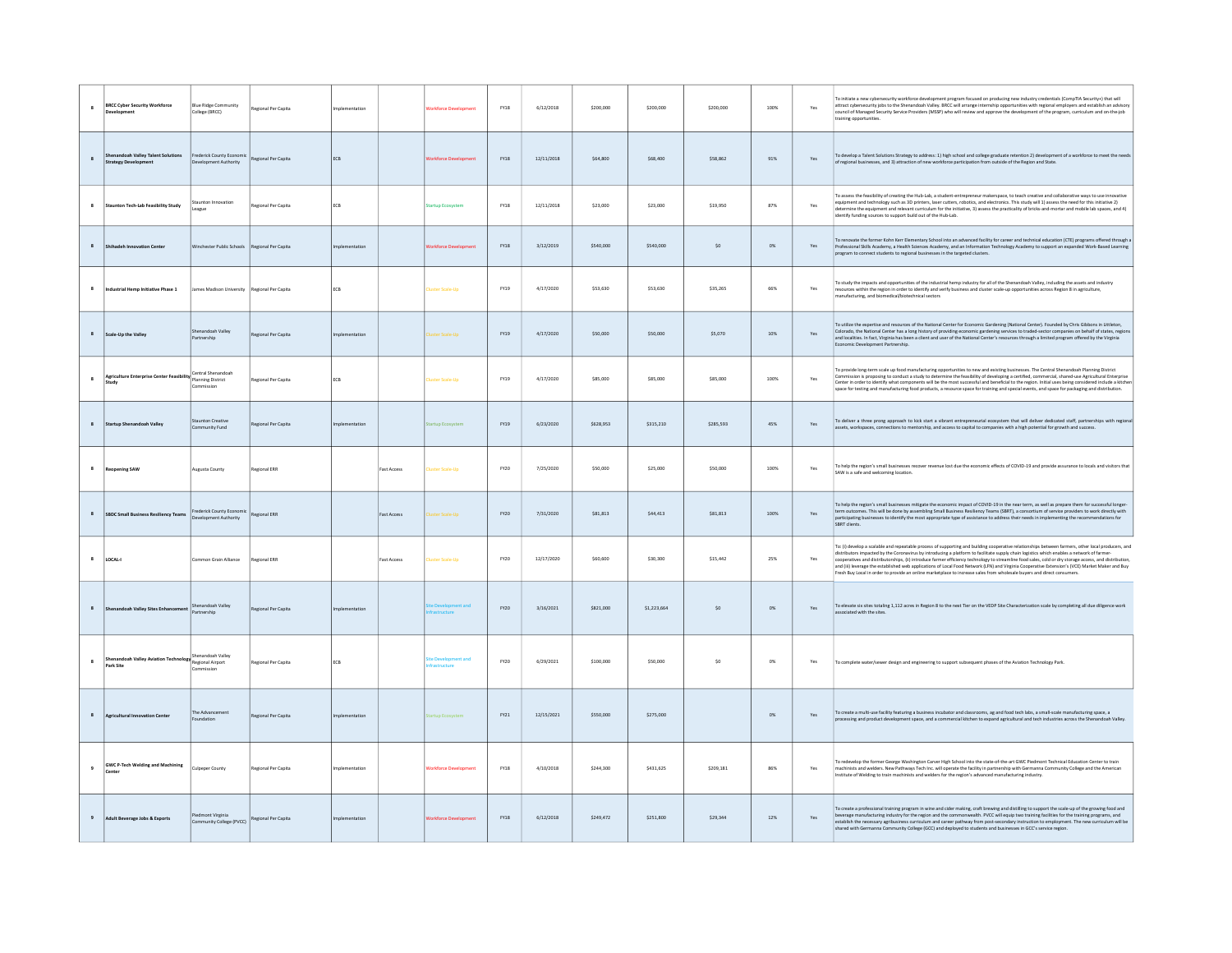| $\mathbf{s}$     | <b>BRCC Cyber Security Workforce</b>                                 | <b>Blue Ridge Community</b><br>College (BRCC)   | Regional Per Capita | nplementation |                    |                             | <b>FY18</b> | 6/12/2018  | \$200,000 | \$200,000   | \$200,000 | 100%    | Yes | To initiate a new cybersecurity workforce development program focused on producing new industry credentials (CompTIA Security+) that will<br>attract cybersecurity jobs to the Shenandoah Valley. BRCC will arrange internship opportunities with regional employers and establish an advisory<br>council of Managed Security Service Providers (MSSP) who will review and approve the development of the program, curriculum and on-the-job<br>training opportunities                                                                                                                                                                                                                                                                  |
|------------------|----------------------------------------------------------------------|-------------------------------------------------|---------------------|---------------|--------------------|-----------------------------|-------------|------------|-----------|-------------|-----------|---------|-----|-----------------------------------------------------------------------------------------------------------------------------------------------------------------------------------------------------------------------------------------------------------------------------------------------------------------------------------------------------------------------------------------------------------------------------------------------------------------------------------------------------------------------------------------------------------------------------------------------------------------------------------------------------------------------------------------------------------------------------------------|
| $\bf{s}$         | Shenandoah Valley Talent Solutions<br>trategy Development            | Frederick County Economi<br>welopment Authority | Regional Per Capita | ECB           |                    |                             | <b>FY18</b> | 12/11/2018 | \$64,800  | \$68,400    | \$58,862  | 91%     | Yes | To develop a Talent Solutions Strategy to address: 1) high school and college graduate retention 2) development of a workforce to meet the needs<br>of regional businesses, and 3) attraction of new workforce participation from outside of the Region and State.                                                                                                                                                                                                                                                                                                                                                                                                                                                                      |
| $\boldsymbol{8}$ | <b>Staunton Tech-Lab Feasibility Study</b>                           | taunton Innovation<br>eague                     | Regional Per Capita | ECB           |                    | <b>Startup Ecosystem</b>    | $FY18$      | 12/11/2018 | \$23,000  | \$23,000    | \$19,950  | 87%     | Yes | To assess the feasibility of creating the Hub-Lab, a student-entrepreneur makerspace, to teach creative and collaborative ways to use innovative<br>equipment and technology such as 3D printers, laser cutters, robotics, and electronics. This study will 1) assess the need for this initiative 2)<br>determine the equipment and relevant curriculum for the initiative, 3) assess the practicality of bricks-and-mortar and mobile lab spaces, and 4)<br>identify funding sources to support build out of the Hub-Lab.                                                                                                                                                                                                             |
| $\boldsymbol{8}$ | Shihadeh Innovation Center                                           | Vinchester Public Schools   Regional Per Capita |                     | mplementation |                    | <b>Jorkforce Developn</b>   | FY18        | 3/12/2019  | \$540,000 | \$540,000   | $\sf{S0}$ | $0\%$   | Yes | To renovate the former Kohn Kerr Elementary School into an advanced facility for career and technical education (CTE) programs offered through a<br>Professional Skills Academy, a Health Sciences Academy, and an Information Technology Academy to support an expanded Work-Based Learning<br>program to connect students to regional businesses in the targeted clusters.                                                                                                                                                                                                                                                                                                                                                            |
| $\bf{8}$         | dustrial Hemp Initiative Phase 1                                     | lames Madison University Regional Per Capita    |                     | ECB           |                    | uster Scale-Up              | FY19        | 4/17/2020  | \$53,630  | \$53,630    | \$35,265  | 66%     | Yes | To study the impacts and opportunities of the industrial hemp industry for all of the Shenandoah Valley, including the assets and industry<br>resources within the region in order to identify and verify business and cluster scale-up opportunities across Region 8 in agriculture,<br>manufacturing, and biomedical/biotechnical sectors                                                                                                                                                                                                                                                                                                                                                                                             |
| $\mathbf{s}$     | cale-Up the Valley                                                   | enandoah Valley<br>Partnership                  | Regional Per Capita |               |                    | ster Scale-Up               | <b>EY19</b> | 4/17/2020  | \$50,000  | \$50,000    | \$5,070   | 10%     | Yes | Fo utilize the expertise and resources of the National Center for Economic Gardening (National Center). Founded by Chris Gibbons in Littleton,<br>Colorado, the National Center has a long history of providing economic gardening services to traded-sector companies on behalf of states, region:<br>and localities. In fact, Virginia has been a client and user of the National Center's resources through a limited program offered by the Virginia<br>Economic Development Partnership.                                                                                                                                                                                                                                           |
| $\mathbf{s}$     | Agriculture Enterprise Center Feasibility Planning District<br>tudy  | Central Shenandoah<br>sission                   | Regional Per Capita | <b>FCB</b>    |                    | uster Scale-Up              | FY19        | 4/17/2020  | \$85,000  | \$85,000    | \$85,000  | 100%    | Yes | To provide long-term scale up food manufacturing opportunities to new and existing businesses. The Central Shenandoah Planning District<br>Commission is proposing to conduct a study to determine the feasibility of developing a certified, commercial, shared-use Agricultural Enterprise<br>Center in order to identify what components will be the most successful and<br>space for testing and manufacturing food products, a resource space for training and special events, and space for packaging and distribution.                                                                                                                                                                                                           |
| $\mathbf{8}$     | Startup Shenandoah Valley                                            | <b>Staunton Creative</b><br>ommunity Fund       | Regional Per Capita | nlementation  |                    | artun Frosystem             | FY19        | 6/23/2020  | \$628,953 | \$315,210   | \$285,593 | 45%     | Yes | To deliver a three prong approach to kick start a vibrant entrepreneurial ecosystem that will deliver dedicated staff, partnerships with regional<br>ections to mentorship, and access to capital to companies with a high potential for growth and success                                                                                                                                                                                                                                                                                                                                                                                                                                                                             |
| $\boldsymbol{8}$ | <b>Reopening SAW</b>                                                 | <b>Augusta County</b>                           | Regional ERR        |               | <b>Fast Access</b> | ister Scale-Up              | FY20        | 7/25/2020  | \$50,000  | \$25,000    | \$50,000  | $100\%$ | Yes | To help the region's small businesses recover revenue lost due the economic effects of COVID-19 and provide assurance to locals and visitors that<br>SAW is a safe and welcoming location.                                                                                                                                                                                                                                                                                                                                                                                                                                                                                                                                              |
| $\bf{8}$         | <b>BDC Small Business Resiliency Teams</b>                           | rederick County Economi<br>evelopment Authority | Regional ERR        |               | Fast Access        | ter Scale-Up                | FY20        | 7/31/2020  | \$81,813  | \$44,413    | \$81,813  | $100\%$ | Yes | To help the region's small businesses mitigate the economic impact of COVID-19 in the near term, as well as prepare them for successful longer-<br>term outcomes. This will be done by assembling Small Business Resiliency Teams (SBRT), a consortium of service providers to work directly with<br>participating businesses to identify the most appropriate type of assistance to<br>SBRT clients.                                                                                                                                                                                                                                                                                                                                   |
| $\mathbf{s}$     | LOCAL-I                                                              | mmon Grain Alliance                             | Regional ERR        |               | <b>Fast Access</b> | ter Scale-Un                | FY20        | 12/17/2020 | \$60,600  | \$30,300    | \$15,442  | 25%     | Yes | To: (i) develop a scalable and repeatable process of supporting and building cooperative relationships between farmers, other local producers, and<br>distributors impacted by the Coronavirus by introducing a platform to facilitate supply chain logistics which enables a network of farmer-<br>cooperatives and distributorships, (ii) introduce farmer efficiency technology to streamline food sales, cold or dry storage access, and distribution<br>and (iii) leverage the established web applications of Local Food Network (LFN) and Virginia Cooperative Extension's (VCE) Market Maker and Buy<br>Fresh Buy Local in order to provide an online marketplace to increase sales from wholesale buyers and direct consumers. |
|                  | henandoah Valley Sites Enhancement                                   | henandoah Valley<br>Partnership                 | Regional Per Capita | mplementation |                    |                             | FY20        | 3/16/2021  | \$821,000 | \$1,223,664 | \$0       | $0\%$   | Yes | To elevate six sites totaling 1,112 acres in Region 8 to the next Tier on the VEDP Site Characterization scale by completing all due diligence work<br>associated with the sites.                                                                                                                                                                                                                                                                                                                                                                                                                                                                                                                                                       |
| $\bf{8}$         | adoah Valley Aviation Technology Sherianusum Technology<br>Park Site | sandoah Valley                                  | Regional Per Capita | ECB           |                    |                             | FY20        | 6/29/2021  | \$100,000 | \$50,000    | \$0       | $0\%$   | Yes | To complete water/sewer design and engineering to support subsequent phases of the Aviation Technology Park.                                                                                                                                                                                                                                                                                                                                                                                                                                                                                                                                                                                                                            |
| $\mathbf{8}$     | <b>Agricultural Innovation Center</b>                                | The Advancemen<br>undation                      | Regional Per Capita | nolementation |                    | <b>Irtup Ecosystem</b>      | FY21        | 12/15/2021 | \$550,000 | \$275,000   |           | $0\%$   | Yes | To create a multi-use facility featuring a business incubator and classrooms, ag and food tech labs, a small-scale manufacturing space, a<br>processing and product development space, and a commercial kitchen to expand agricultural and tech industries across the Shenandoah Valley.                                                                                                                                                                                                                                                                                                                                                                                                                                                |
| 9                | <b>GWC P-Tech Welding and Machining</b>                              | Culpeper County                                 | Regional Per Capita | mplementation |                    | <b>Jorkforce Developmen</b> | $FY18$      | 4/10/2018  | \$244,300 | \$431,625   | \$209,181 | 86%     | Yes | To redevelop the former George Washington Carver High School into the state-of-the-art GWC Piedmont Technical Education Center to train<br>machinists and welders. New Pathways Tech Inc. will operate the facility in partnership with Germanna Community College and the American<br>Institute of Welding to train machinists and welders for the region's advanced manufacturing industry.                                                                                                                                                                                                                                                                                                                                           |
| 9                | Adult Beverage Jobs & Exports                                        | Piedmont Virginia<br>Community College (PVCC)   | Regional Per Capita |               |                    |                             | <b>FY18</b> | 6/12/2018  | \$249,472 | \$251,800   | \$29,344  | 12%     | Yes | To create a professional training program in wine and cider making, craft brewing and distilling to support the scale-up of the growing food and<br>beverage manufacturing industry for the region and the commonwealth. PVCC will equip two training facilities for the training programs, and<br>establish the necessary agribusiness curriculum and career pathway from post-secondary instruction to employment. The new curriculum will be<br>shared with Germanna Community College (GCC) and deployed to students and businesses in GCC's service region                                                                                                                                                                         |